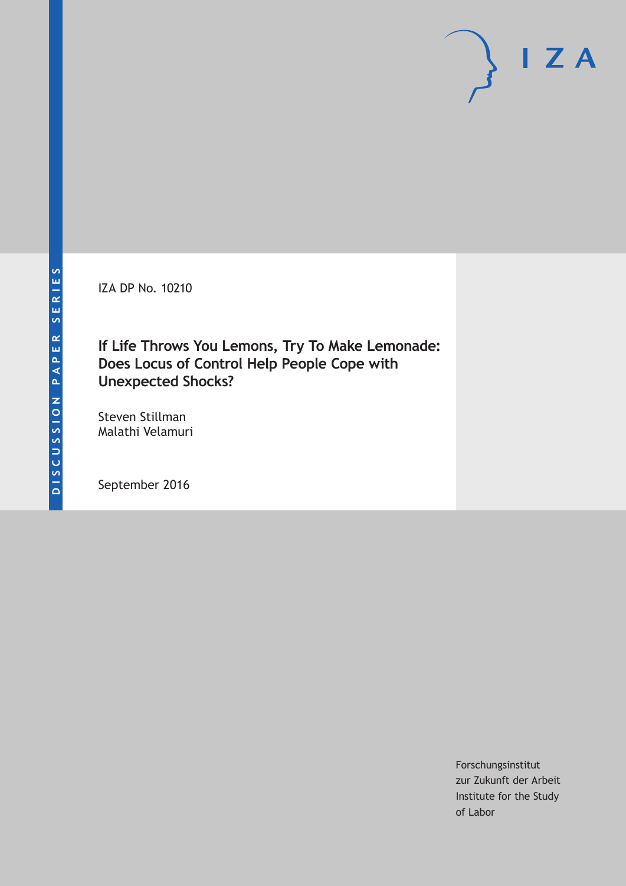IZA DP No. 10210

# **If Life Throws You Lemons, Try To Make Lemonade: Does Locus of Control Help People Cope with Unexpected Shocks?**

Steven Stillman Malathi Velamuri

September 2016

Forschungsinstitut zur Zukunft der Arbeit Institute for the Study of Labor

 $I Z A$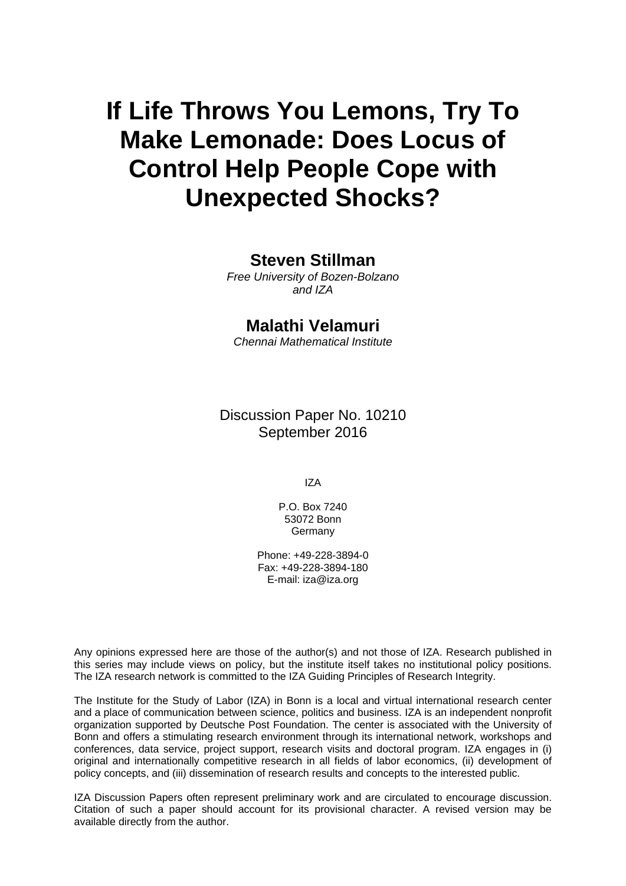# **If Life Throws You Lemons, Try To Make Lemonade: Does Locus of Control Help People Cope with Unexpected Shocks?**

### **Steven Stillman**

*Free University of Bozen-Bolzano and IZA* 

## **Malathi Velamuri**

*Chennai Mathematical Institute* 

Discussion Paper No. 10210 September 2016

IZA

P.O. Box 7240 53072 Bonn Germany

Phone: +49-228-3894-0 Fax: +49-228-3894-180 E-mail: iza@iza.org

Any opinions expressed here are those of the author(s) and not those of IZA. Research published in this series may include views on policy, but the institute itself takes no institutional policy positions. The IZA research network is committed to the IZA Guiding Principles of Research Integrity.

The Institute for the Study of Labor (IZA) in Bonn is a local and virtual international research center and a place of communication between science, politics and business. IZA is an independent nonprofit organization supported by Deutsche Post Foundation. The center is associated with the University of Bonn and offers a stimulating research environment through its international network, workshops and conferences, data service, project support, research visits and doctoral program. IZA engages in (i) original and internationally competitive research in all fields of labor economics, (ii) development of policy concepts, and (iii) dissemination of research results and concepts to the interested public.

IZA Discussion Papers often represent preliminary work and are circulated to encourage discussion. Citation of such a paper should account for its provisional character. A revised version may be available directly from the author.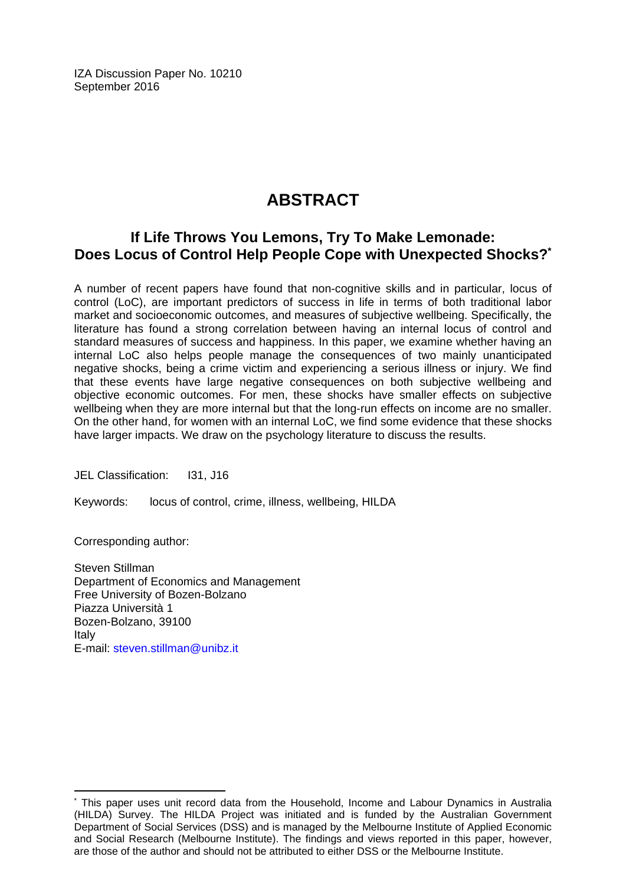IZA Discussion Paper No. 10210 September 2016

# **ABSTRACT**

## **If Life Throws You Lemons, Try To Make Lemonade: Does Locus of Control Help People Cope with Unexpected Shocks?\***

A number of recent papers have found that non-cognitive skills and in particular, locus of control (LoC), are important predictors of success in life in terms of both traditional labor market and socioeconomic outcomes, and measures of subjective wellbeing. Specifically, the literature has found a strong correlation between having an internal locus of control and standard measures of success and happiness. In this paper, we examine whether having an internal LoC also helps people manage the consequences of two mainly unanticipated negative shocks, being a crime victim and experiencing a serious illness or injury. We find that these events have large negative consequences on both subjective wellbeing and objective economic outcomes. For men, these shocks have smaller effects on subjective wellbeing when they are more internal but that the long-run effects on income are no smaller. On the other hand, for women with an internal LoC, we find some evidence that these shocks have larger impacts. We draw on the psychology literature to discuss the results.

JEL Classification: I31, J16

Keywords: locus of control, crime, illness, wellbeing, HILDA

Corresponding author:

 $\overline{a}$ 

Steven Stillman Department of Economics and Management Free University of Bozen-Bolzano Piazza Università 1 Bozen-Bolzano, 39100 Italy E-mail: steven.stillman@unibz.it

<sup>\*</sup> This paper uses unit record data from the Household, Income and Labour Dynamics in Australia (HILDA) Survey. The HILDA Project was initiated and is funded by the Australian Government Department of Social Services (DSS) and is managed by the Melbourne Institute of Applied Economic and Social Research (Melbourne Institute). The findings and views reported in this paper, however, are those of the author and should not be attributed to either DSS or the Melbourne Institute.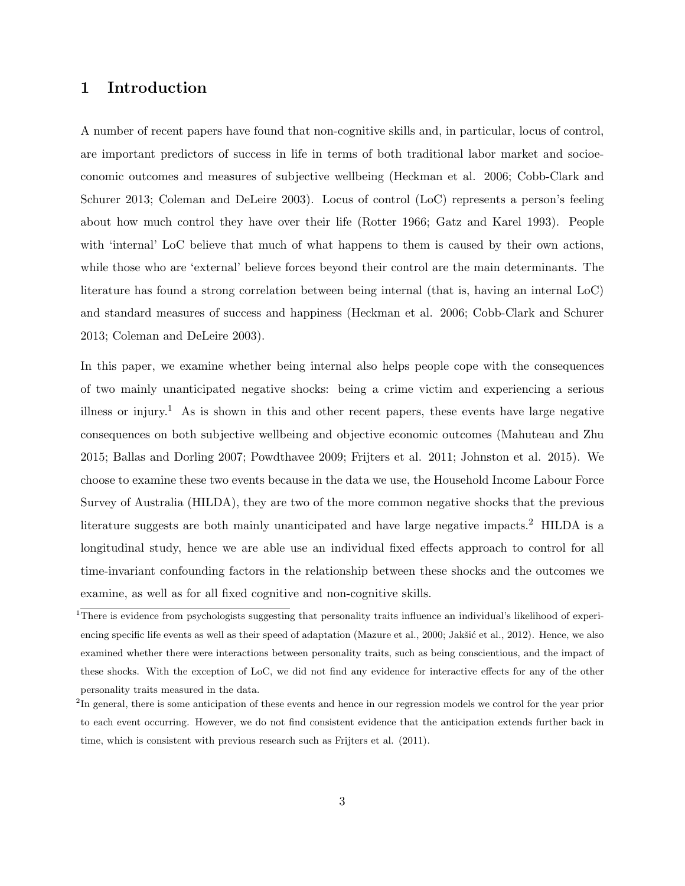#### 1 Introduction

A number of recent papers have found that non-cognitive skills and, in particular, locus of control, are important predictors of success in life in terms of both traditional labor market and socioeconomic outcomes and measures of subjective wellbeing (Heckman et al. 2006; Cobb-Clark and Schurer 2013; Coleman and DeLeire 2003). Locus of control (LoC) represents a person's feeling about how much control they have over their life (Rotter 1966; Gatz and Karel 1993). People with 'internal' LoC believe that much of what happens to them is caused by their own actions, while those who are 'external' believe forces beyond their control are the main determinants. The literature has found a strong correlation between being internal (that is, having an internal LoC) and standard measures of success and happiness (Heckman et al. 2006; Cobb-Clark and Schurer 2013; Coleman and DeLeire 2003).

In this paper, we examine whether being internal also helps people cope with the consequences of two mainly unanticipated negative shocks: being a crime victim and experiencing a serious illness or injury.<sup>1</sup> As is shown in this and other recent papers, these events have large negative consequences on both subjective wellbeing and objective economic outcomes (Mahuteau and Zhu 2015; Ballas and Dorling 2007; Powdthavee 2009; Frijters et al. 2011; Johnston et al. 2015). We choose to examine these two events because in the data we use, the Household Income Labour Force Survey of Australia (HILDA), they are two of the more common negative shocks that the previous literature suggests are both mainly unanticipated and have large negative impacts.<sup>2</sup> HILDA is a longitudinal study, hence we are able use an individual fixed effects approach to control for all time-invariant confounding factors in the relationship between these shocks and the outcomes we examine, as well as for all fixed cognitive and non-cognitive skills.

<sup>&</sup>lt;sup>1</sup>There is evidence from psychologists suggesting that personality traits influence an individual's likelihood of experiencing specific life events as well as their speed of adaptation (Mazure et al., 2000; Jakšić et al., 2012). Hence, we also examined whether there were interactions between personality traits, such as being conscientious, and the impact of these shocks. With the exception of LoC, we did not find any evidence for interactive effects for any of the other personality traits measured in the data.

<sup>&</sup>lt;sup>2</sup>In general, there is some anticipation of these events and hence in our regression models we control for the year prior to each event occurring. However, we do not find consistent evidence that the anticipation extends further back in time, which is consistent with previous research such as Frijters et al. (2011).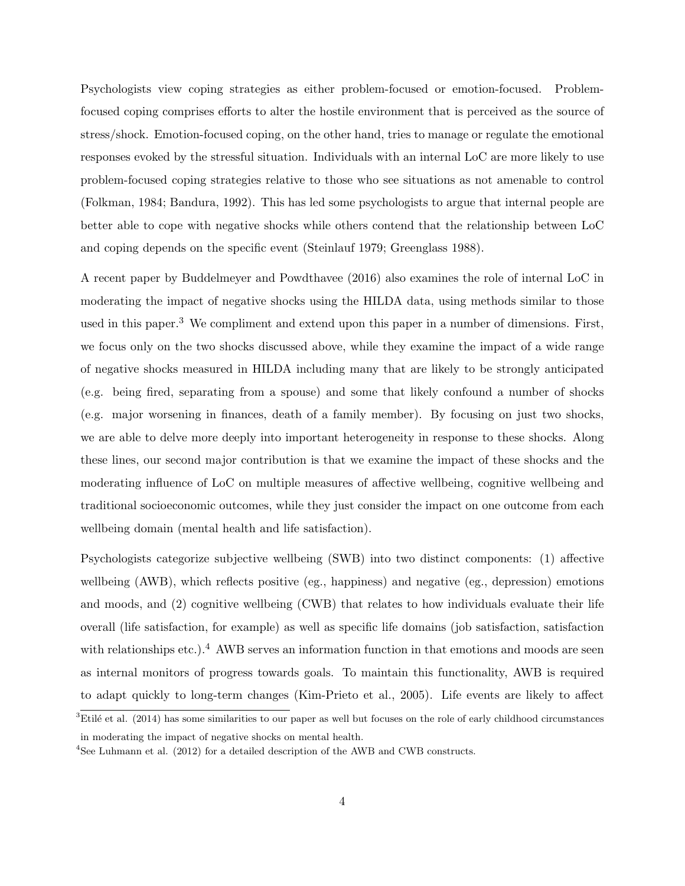Psychologists view coping strategies as either problem-focused or emotion-focused. Problemfocused coping comprises efforts to alter the hostile environment that is perceived as the source of stress/shock. Emotion-focused coping, on the other hand, tries to manage or regulate the emotional responses evoked by the stressful situation. Individuals with an internal LoC are more likely to use problem-focused coping strategies relative to those who see situations as not amenable to control (Folkman, 1984; Bandura, 1992). This has led some psychologists to argue that internal people are better able to cope with negative shocks while others contend that the relationship between LoC and coping depends on the specific event (Steinlauf 1979; Greenglass 1988).

A recent paper by Buddelmeyer and Powdthavee (2016) also examines the role of internal LoC in moderating the impact of negative shocks using the HILDA data, using methods similar to those used in this paper.<sup>3</sup> We compliment and extend upon this paper in a number of dimensions. First, we focus only on the two shocks discussed above, while they examine the impact of a wide range of negative shocks measured in HILDA including many that are likely to be strongly anticipated (e.g. being fired, separating from a spouse) and some that likely confound a number of shocks (e.g. major worsening in finances, death of a family member). By focusing on just two shocks, we are able to delve more deeply into important heterogeneity in response to these shocks. Along these lines, our second major contribution is that we examine the impact of these shocks and the moderating influence of LoC on multiple measures of affective wellbeing, cognitive wellbeing and traditional socioeconomic outcomes, while they just consider the impact on one outcome from each wellbeing domain (mental health and life satisfaction).

Psychologists categorize subjective wellbeing (SWB) into two distinct components: (1) affective wellbeing (AWB), which reflects positive (eg., happiness) and negative (eg., depression) emotions and moods, and (2) cognitive wellbeing (CWB) that relates to how individuals evaluate their life overall (life satisfaction, for example) as well as specific life domains (job satisfaction, satisfaction with relationships etc.).<sup>4</sup> AWB serves an information function in that emotions and moods are seen as internal monitors of progress towards goals. To maintain this functionality, AWB is required to adapt quickly to long-term changes (Kim-Prieto et al., 2005). Life events are likely to affect

 $3$ Etilé et al. (2014) has some similarities to our paper as well but focuses on the role of early childhood circumstances in moderating the impact of negative shocks on mental health.

<sup>4</sup>See Luhmann et al. (2012) for a detailed description of the AWB and CWB constructs.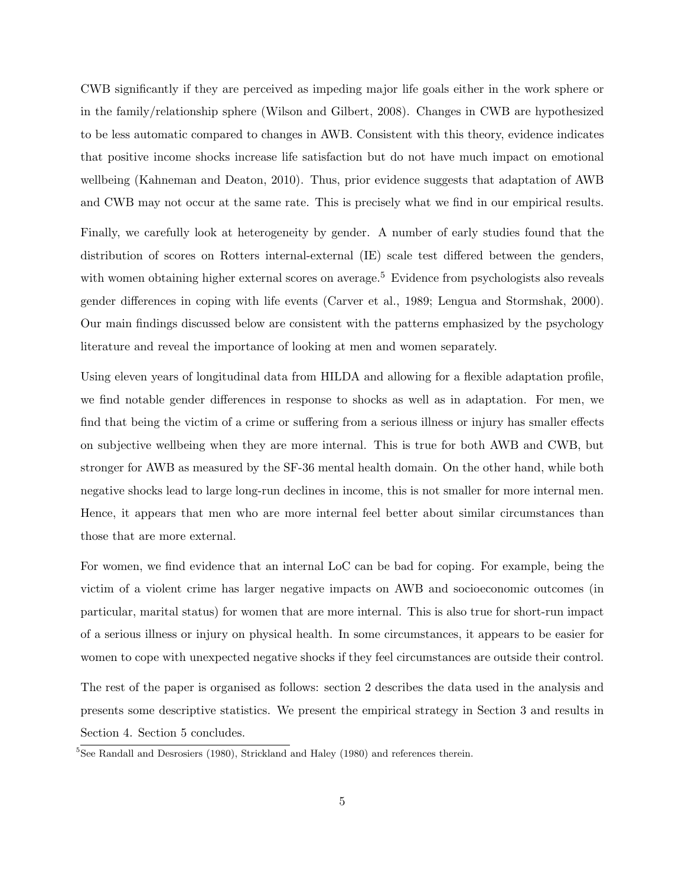CWB significantly if they are perceived as impeding major life goals either in the work sphere or in the family/relationship sphere (Wilson and Gilbert, 2008). Changes in CWB are hypothesized to be less automatic compared to changes in AWB. Consistent with this theory, evidence indicates that positive income shocks increase life satisfaction but do not have much impact on emotional wellbeing (Kahneman and Deaton, 2010). Thus, prior evidence suggests that adaptation of AWB and CWB may not occur at the same rate. This is precisely what we find in our empirical results.

Finally, we carefully look at heterogeneity by gender. A number of early studies found that the distribution of scores on Rotters internal-external (IE) scale test differed between the genders, with women obtaining higher external scores on average.<sup>5</sup> Evidence from psychologists also reveals gender differences in coping with life events (Carver et al., 1989; Lengua and Stormshak, 2000). Our main findings discussed below are consistent with the patterns emphasized by the psychology literature and reveal the importance of looking at men and women separately.

Using eleven years of longitudinal data from HILDA and allowing for a flexible adaptation profile, we find notable gender differences in response to shocks as well as in adaptation. For men, we find that being the victim of a crime or suffering from a serious illness or injury has smaller effects on subjective wellbeing when they are more internal. This is true for both AWB and CWB, but stronger for AWB as measured by the SF-36 mental health domain. On the other hand, while both negative shocks lead to large long-run declines in income, this is not smaller for more internal men. Hence, it appears that men who are more internal feel better about similar circumstances than those that are more external.

For women, we find evidence that an internal LoC can be bad for coping. For example, being the victim of a violent crime has larger negative impacts on AWB and socioeconomic outcomes (in particular, marital status) for women that are more internal. This is also true for short-run impact of a serious illness or injury on physical health. In some circumstances, it appears to be easier for women to cope with unexpected negative shocks if they feel circumstances are outside their control.

The rest of the paper is organised as follows: section 2 describes the data used in the analysis and presents some descriptive statistics. We present the empirical strategy in Section 3 and results in Section 4. Section 5 concludes.

 $5$ See Randall and Desrosiers (1980), Strickland and Haley (1980) and references therein.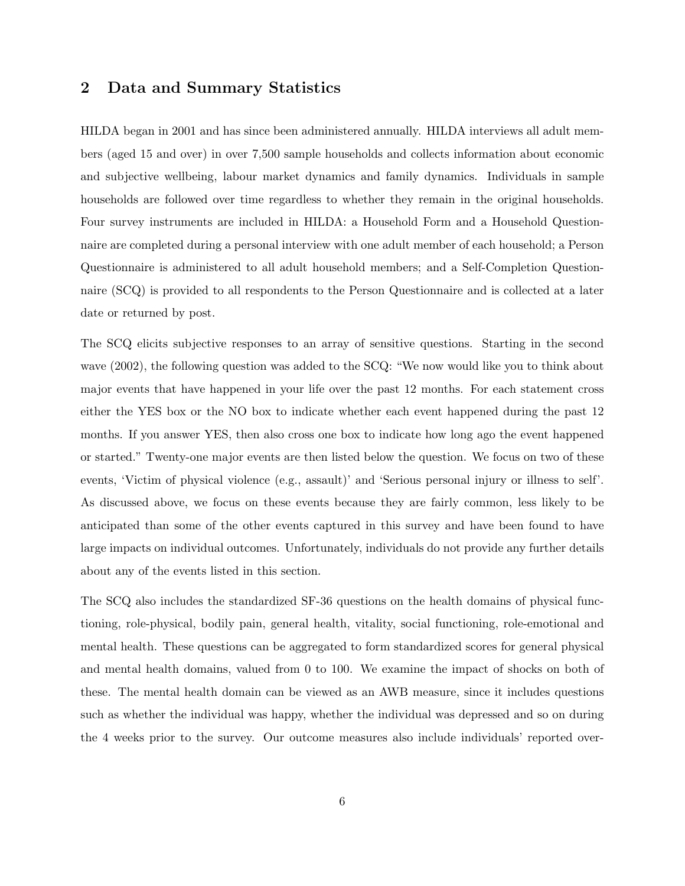#### 2 Data and Summary Statistics

HILDA began in 2001 and has since been administered annually. HILDA interviews all adult members (aged 15 and over) in over 7,500 sample households and collects information about economic and subjective wellbeing, labour market dynamics and family dynamics. Individuals in sample households are followed over time regardless to whether they remain in the original households. Four survey instruments are included in HILDA: a Household Form and a Household Questionnaire are completed during a personal interview with one adult member of each household; a Person Questionnaire is administered to all adult household members; and a Self-Completion Questionnaire (SCQ) is provided to all respondents to the Person Questionnaire and is collected at a later date or returned by post.

The SCQ elicits subjective responses to an array of sensitive questions. Starting in the second wave (2002), the following question was added to the SCQ: "We now would like you to think about major events that have happened in your life over the past 12 months. For each statement cross either the YES box or the NO box to indicate whether each event happened during the past 12 months. If you answer YES, then also cross one box to indicate how long ago the event happened or started." Twenty-one major events are then listed below the question. We focus on two of these events, 'Victim of physical violence (e.g., assault)' and 'Serious personal injury or illness to self'. As discussed above, we focus on these events because they are fairly common, less likely to be anticipated than some of the other events captured in this survey and have been found to have large impacts on individual outcomes. Unfortunately, individuals do not provide any further details about any of the events listed in this section.

The SCQ also includes the standardized SF-36 questions on the health domains of physical functioning, role-physical, bodily pain, general health, vitality, social functioning, role-emotional and mental health. These questions can be aggregated to form standardized scores for general physical and mental health domains, valued from 0 to 100. We examine the impact of shocks on both of these. The mental health domain can be viewed as an AWB measure, since it includes questions such as whether the individual was happy, whether the individual was depressed and so on during the 4 weeks prior to the survey. Our outcome measures also include individuals' reported over-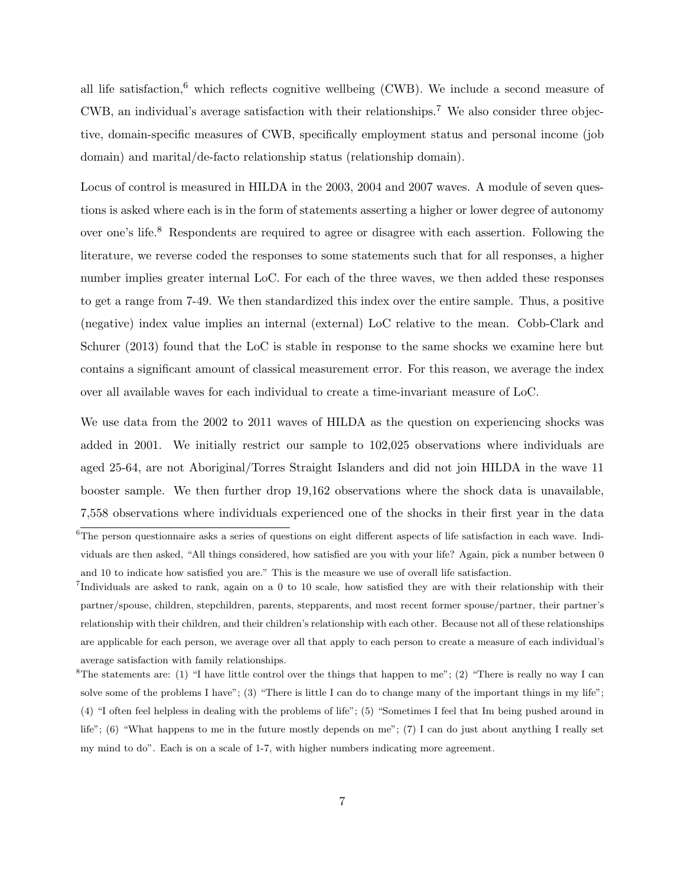all life satisfaction,<sup>6</sup> which reflects cognitive wellbeing (CWB). We include a second measure of CWB, an individual's average satisfaction with their relationships.<sup>7</sup> We also consider three objective, domain-specific measures of CWB, specifically employment status and personal income (job domain) and marital/de-facto relationship status (relationship domain).

Locus of control is measured in HILDA in the 2003, 2004 and 2007 waves. A module of seven questions is asked where each is in the form of statements asserting a higher or lower degree of autonomy over one's life.<sup>8</sup> Respondents are required to agree or disagree with each assertion. Following the literature, we reverse coded the responses to some statements such that for all responses, a higher number implies greater internal LoC. For each of the three waves, we then added these responses to get a range from 7-49. We then standardized this index over the entire sample. Thus, a positive (negative) index value implies an internal (external) LoC relative to the mean. Cobb-Clark and Schurer (2013) found that the LoC is stable in response to the same shocks we examine here but contains a significant amount of classical measurement error. For this reason, we average the index over all available waves for each individual to create a time-invariant measure of LoC.

We use data from the 2002 to 2011 waves of HILDA as the question on experiencing shocks was added in 2001. We initially restrict our sample to 102,025 observations where individuals are aged 25-64, are not Aboriginal/Torres Straight Islanders and did not join HILDA in the wave 11 booster sample. We then further drop 19,162 observations where the shock data is unavailable, 7,558 observations where individuals experienced one of the shocks in their first year in the data

 ${}^{6}$ The person questionnaire asks a series of questions on eight different aspects of life satisfaction in each wave. Individuals are then asked, "All things considered, how satisfied are you with your life? Again, pick a number between 0 and 10 to indicate how satisfied you are." This is the measure we use of overall life satisfaction.

<sup>7</sup> Individuals are asked to rank, again on a 0 to 10 scale, how satisfied they are with their relationship with their partner/spouse, children, stepchildren, parents, stepparents, and most recent former spouse/partner, their partner's relationship with their children, and their children's relationship with each other. Because not all of these relationships are applicable for each person, we average over all that apply to each person to create a measure of each individual's average satisfaction with family relationships.

<sup>&</sup>lt;sup>8</sup>The statements are: (1) "I have little control over the things that happen to me"; (2) "There is really no way I can solve some of the problems I have"; (3) "There is little I can do to change many of the important things in my life"; (4) "I often feel helpless in dealing with the problems of life"; (5) "Sometimes I feel that Im being pushed around in life"; (6) "What happens to me in the future mostly depends on me"; (7) I can do just about anything I really set my mind to do". Each is on a scale of 1-7, with higher numbers indicating more agreement.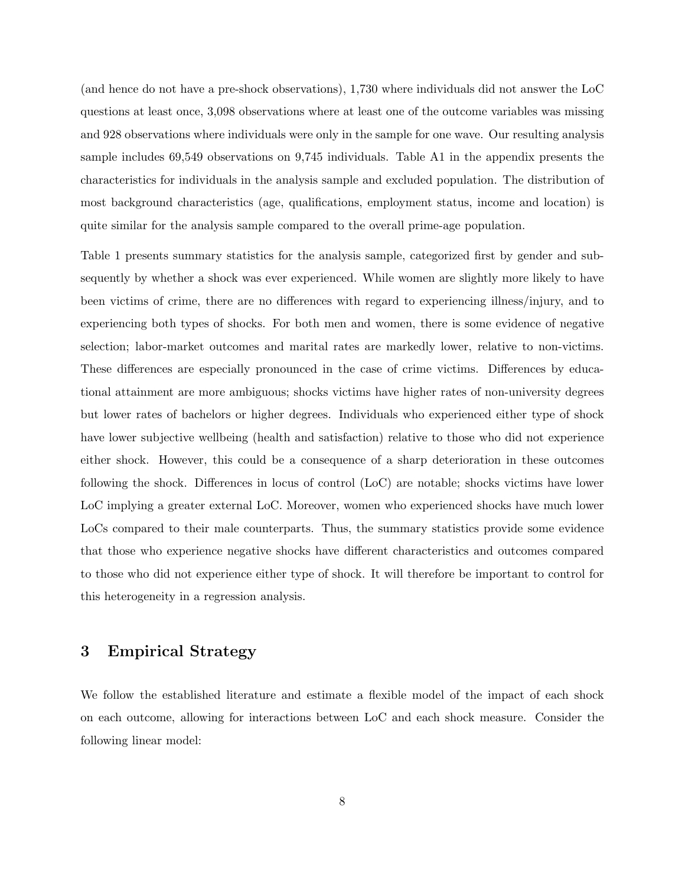(and hence do not have a pre-shock observations), 1,730 where individuals did not answer the LoC questions at least once, 3,098 observations where at least one of the outcome variables was missing and 928 observations where individuals were only in the sample for one wave. Our resulting analysis sample includes 69,549 observations on 9,745 individuals. Table A1 in the appendix presents the characteristics for individuals in the analysis sample and excluded population. The distribution of most background characteristics (age, qualifications, employment status, income and location) is quite similar for the analysis sample compared to the overall prime-age population.

Table 1 presents summary statistics for the analysis sample, categorized first by gender and subsequently by whether a shock was ever experienced. While women are slightly more likely to have been victims of crime, there are no differences with regard to experiencing illness/injury, and to experiencing both types of shocks. For both men and women, there is some evidence of negative selection; labor-market outcomes and marital rates are markedly lower, relative to non-victims. These differences are especially pronounced in the case of crime victims. Differences by educational attainment are more ambiguous; shocks victims have higher rates of non-university degrees but lower rates of bachelors or higher degrees. Individuals who experienced either type of shock have lower subjective wellbeing (health and satisfaction) relative to those who did not experience either shock. However, this could be a consequence of a sharp deterioration in these outcomes following the shock. Differences in locus of control (LoC) are notable; shocks victims have lower LoC implying a greater external LoC. Moreover, women who experienced shocks have much lower LoCs compared to their male counterparts. Thus, the summary statistics provide some evidence that those who experience negative shocks have different characteristics and outcomes compared to those who did not experience either type of shock. It will therefore be important to control for this heterogeneity in a regression analysis.

#### 3 Empirical Strategy

We follow the established literature and estimate a flexible model of the impact of each shock on each outcome, allowing for interactions between LoC and each shock measure. Consider the following linear model: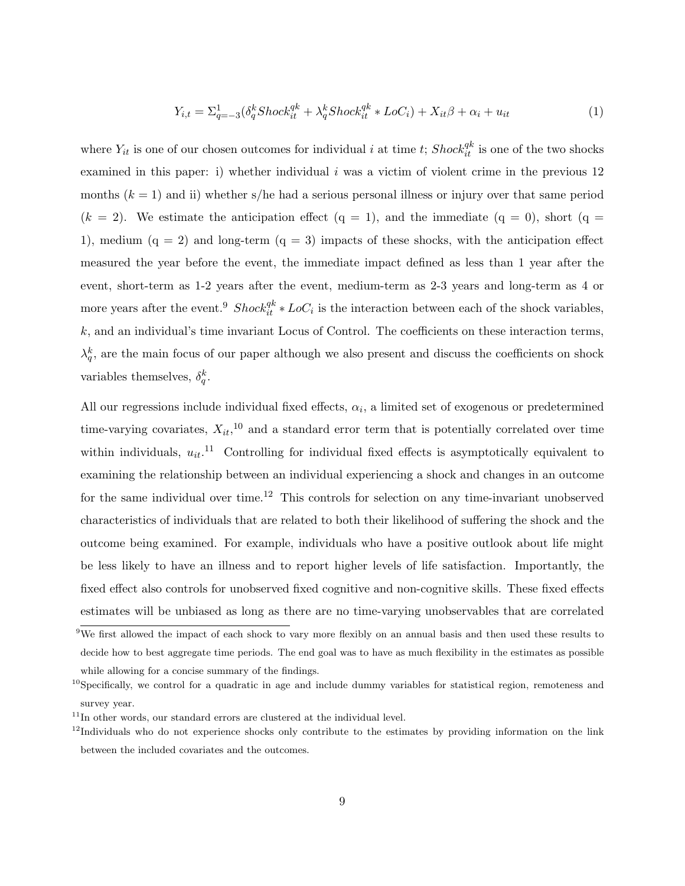$$
Y_{i,t} = \sum_{q=-3}^{1} (\delta_q^k \text{Shock}_{it}^{qk} + \lambda_q^k \text{Shock}_{it}^{qk} * \text{LoC}_i) + X_{it}\beta + \alpha_i + u_{it} \tag{1}
$$

where  $Y_{it}$  is one of our chosen outcomes for individual i at time t;  $Shock_{it}^{qk}$  is one of the two shocks examined in this paper: i) whether individual  $i$  was a victim of violent crime in the previous 12 months  $(k = 1)$  and ii) whether s/he had a serious personal illness or injury over that same period  $(k = 2)$ . We estimate the anticipation effect  $(q = 1)$ , and the immediate  $(q = 0)$ , short  $(q = 1)$ 1), medium  $(q = 2)$  and long-term  $(q = 3)$  impacts of these shocks, with the anticipation effect measured the year before the event, the immediate impact defined as less than 1 year after the event, short-term as 1-2 years after the event, medium-term as 2-3 years and long-term as 4 or more years after the event.<sup>9</sup> Shock ${}^{qk}_{it} * LoC_i$  is the interaction between each of the shock variables, k, and an individual's time invariant Locus of Control. The coefficients on these interaction terms,  $\lambda_q^k$ , are the main focus of our paper although we also present and discuss the coefficients on shock variables themselves,  $\delta_q^k$ .

All our regressions include individual fixed effects,  $\alpha_i$ , a limited set of exogenous or predetermined time-varying covariates,  $X_{it}$ , <sup>10</sup> and a standard error term that is potentially correlated over time within individuals,  $u_{it}$ <sup>11</sup> Controlling for individual fixed effects is asymptotically equivalent to examining the relationship between an individual experiencing a shock and changes in an outcome for the same individual over time.<sup>12</sup> This controls for selection on any time-invariant unobserved characteristics of individuals that are related to both their likelihood of suffering the shock and the outcome being examined. For example, individuals who have a positive outlook about life might be less likely to have an illness and to report higher levels of life satisfaction. Importantly, the fixed effect also controls for unobserved fixed cognitive and non-cognitive skills. These fixed effects estimates will be unbiased as long as there are no time-varying unobservables that are correlated

<sup>&</sup>lt;sup>9</sup>We first allowed the impact of each shock to vary more flexibly on an annual basis and then used these results to decide how to best aggregate time periods. The end goal was to have as much flexibility in the estimates as possible while allowing for a concise summary of the findings.

<sup>&</sup>lt;sup>10</sup>Specifically, we control for a quadratic in age and include dummy variables for statistical region, remoteness and survey year.

 $11$ In other words, our standard errors are clustered at the individual level.

 $12$ Individuals who do not experience shocks only contribute to the estimates by providing information on the link between the included covariates and the outcomes.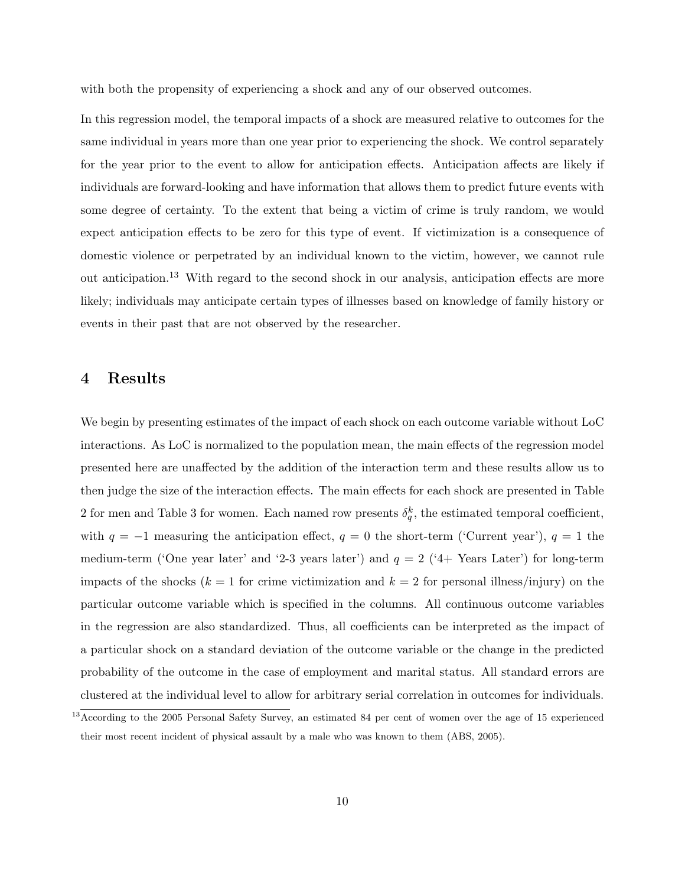with both the propensity of experiencing a shock and any of our observed outcomes.

In this regression model, the temporal impacts of a shock are measured relative to outcomes for the same individual in years more than one year prior to experiencing the shock. We control separately for the year prior to the event to allow for anticipation effects. Anticipation affects are likely if individuals are forward-looking and have information that allows them to predict future events with some degree of certainty. To the extent that being a victim of crime is truly random, we would expect anticipation effects to be zero for this type of event. If victimization is a consequence of domestic violence or perpetrated by an individual known to the victim, however, we cannot rule out anticipation.<sup>13</sup> With regard to the second shock in our analysis, anticipation effects are more likely; individuals may anticipate certain types of illnesses based on knowledge of family history or events in their past that are not observed by the researcher.

#### 4 Results

We begin by presenting estimates of the impact of each shock on each outcome variable without LoC interactions. As LoC is normalized to the population mean, the main effects of the regression model presented here are unaffected by the addition of the interaction term and these results allow us to then judge the size of the interaction effects. The main effects for each shock are presented in Table 2 for men and Table 3 for women. Each named row presents  $\delta_q^k$ , the estimated temporal coefficient, with  $q = -1$  measuring the anticipation effect,  $q = 0$  the short-term ('Current year'),  $q = 1$  the medium-term ('One year later' and '2-3 years later') and  $q = 2$  ('4+ Years Later') for long-term impacts of the shocks ( $k = 1$  for crime victimization and  $k = 2$  for personal illness/injury) on the particular outcome variable which is specified in the columns. All continuous outcome variables in the regression are also standardized. Thus, all coefficients can be interpreted as the impact of a particular shock on a standard deviation of the outcome variable or the change in the predicted probability of the outcome in the case of employment and marital status. All standard errors are clustered at the individual level to allow for arbitrary serial correlation in outcomes for individuals.

<sup>&</sup>lt;sup>13</sup> According to the 2005 Personal Safety Survey, an estimated 84 per cent of women over the age of 15 experienced their most recent incident of physical assault by a male who was known to them (ABS, 2005).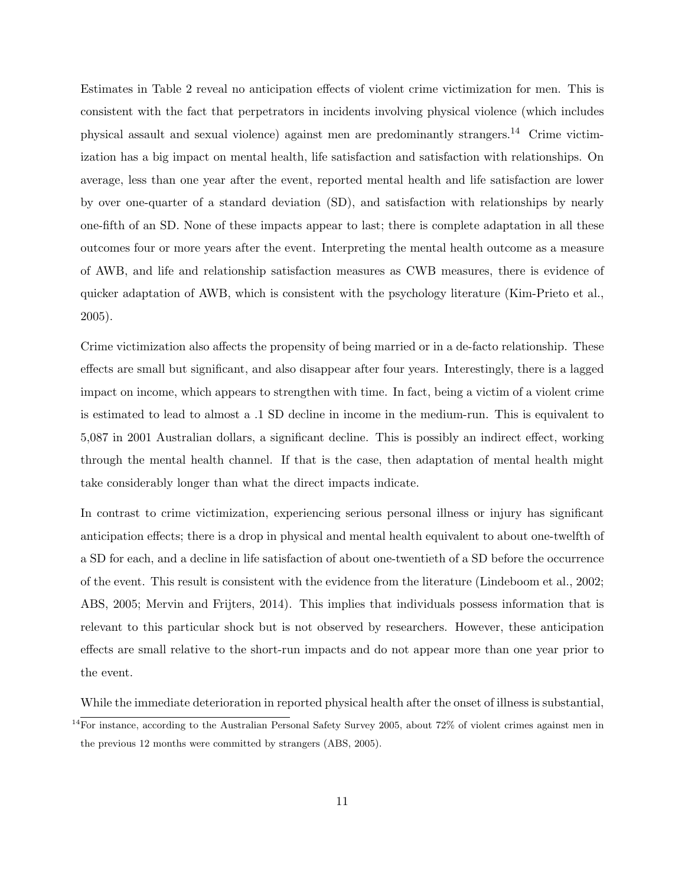Estimates in Table 2 reveal no anticipation effects of violent crime victimization for men. This is consistent with the fact that perpetrators in incidents involving physical violence (which includes physical assault and sexual violence) against men are predominantly strangers.<sup>14</sup> Crime victimization has a big impact on mental health, life satisfaction and satisfaction with relationships. On average, less than one year after the event, reported mental health and life satisfaction are lower by over one-quarter of a standard deviation (SD), and satisfaction with relationships by nearly one-fifth of an SD. None of these impacts appear to last; there is complete adaptation in all these outcomes four or more years after the event. Interpreting the mental health outcome as a measure of AWB, and life and relationship satisfaction measures as CWB measures, there is evidence of quicker adaptation of AWB, which is consistent with the psychology literature (Kim-Prieto et al., 2005).

Crime victimization also affects the propensity of being married or in a de-facto relationship. These effects are small but significant, and also disappear after four years. Interestingly, there is a lagged impact on income, which appears to strengthen with time. In fact, being a victim of a violent crime is estimated to lead to almost a .1 SD decline in income in the medium-run. This is equivalent to 5,087 in 2001 Australian dollars, a significant decline. This is possibly an indirect effect, working through the mental health channel. If that is the case, then adaptation of mental health might take considerably longer than what the direct impacts indicate.

In contrast to crime victimization, experiencing serious personal illness or injury has significant anticipation effects; there is a drop in physical and mental health equivalent to about one-twelfth of a SD for each, and a decline in life satisfaction of about one-twentieth of a SD before the occurrence of the event. This result is consistent with the evidence from the literature (Lindeboom et al., 2002; ABS, 2005; Mervin and Frijters, 2014). This implies that individuals possess information that is relevant to this particular shock but is not observed by researchers. However, these anticipation effects are small relative to the short-run impacts and do not appear more than one year prior to the event.

While the immediate deterioration in reported physical health after the onset of illness is substantial,

 $14$ For instance, according to the Australian Personal Safety Survey 2005, about 72% of violent crimes against men in the previous 12 months were committed by strangers (ABS, 2005).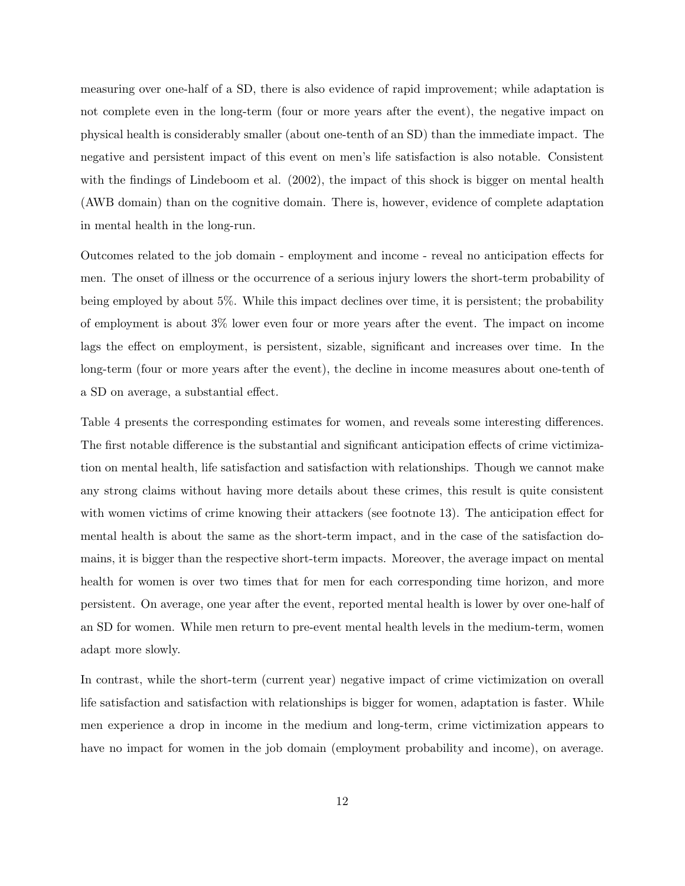measuring over one-half of a SD, there is also evidence of rapid improvement; while adaptation is not complete even in the long-term (four or more years after the event), the negative impact on physical health is considerably smaller (about one-tenth of an SD) than the immediate impact. The negative and persistent impact of this event on men's life satisfaction is also notable. Consistent with the findings of Lindeboom et al.  $(2002)$ , the impact of this shock is bigger on mental health (AWB domain) than on the cognitive domain. There is, however, evidence of complete adaptation in mental health in the long-run.

Outcomes related to the job domain - employment and income - reveal no anticipation effects for men. The onset of illness or the occurrence of a serious injury lowers the short-term probability of being employed by about 5%. While this impact declines over time, it is persistent; the probability of employment is about 3% lower even four or more years after the event. The impact on income lags the effect on employment, is persistent, sizable, significant and increases over time. In the long-term (four or more years after the event), the decline in income measures about one-tenth of a SD on average, a substantial effect.

Table 4 presents the corresponding estimates for women, and reveals some interesting differences. The first notable difference is the substantial and significant anticipation effects of crime victimization on mental health, life satisfaction and satisfaction with relationships. Though we cannot make any strong claims without having more details about these crimes, this result is quite consistent with women victims of crime knowing their attackers (see footnote 13). The anticipation effect for mental health is about the same as the short-term impact, and in the case of the satisfaction domains, it is bigger than the respective short-term impacts. Moreover, the average impact on mental health for women is over two times that for men for each corresponding time horizon, and more persistent. On average, one year after the event, reported mental health is lower by over one-half of an SD for women. While men return to pre-event mental health levels in the medium-term, women adapt more slowly.

In contrast, while the short-term (current year) negative impact of crime victimization on overall life satisfaction and satisfaction with relationships is bigger for women, adaptation is faster. While men experience a drop in income in the medium and long-term, crime victimization appears to have no impact for women in the job domain (employment probability and income), on average.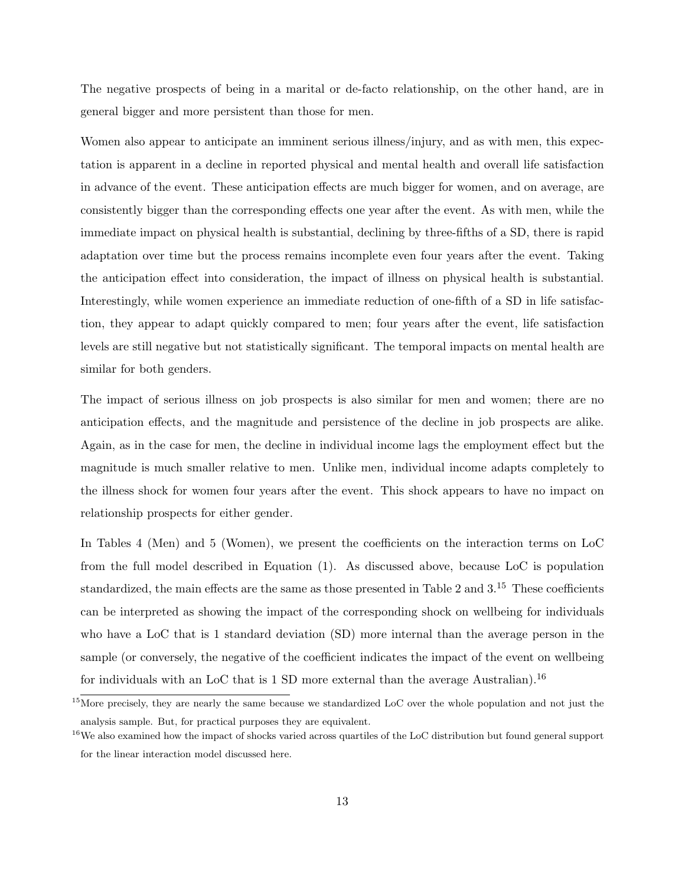The negative prospects of being in a marital or de-facto relationship, on the other hand, are in general bigger and more persistent than those for men.

Women also appear to anticipate an imminent serious illness/injury, and as with men, this expectation is apparent in a decline in reported physical and mental health and overall life satisfaction in advance of the event. These anticipation effects are much bigger for women, and on average, are consistently bigger than the corresponding effects one year after the event. As with men, while the immediate impact on physical health is substantial, declining by three-fifths of a SD, there is rapid adaptation over time but the process remains incomplete even four years after the event. Taking the anticipation effect into consideration, the impact of illness on physical health is substantial. Interestingly, while women experience an immediate reduction of one-fifth of a SD in life satisfaction, they appear to adapt quickly compared to men; four years after the event, life satisfaction levels are still negative but not statistically significant. The temporal impacts on mental health are similar for both genders.

The impact of serious illness on job prospects is also similar for men and women; there are no anticipation effects, and the magnitude and persistence of the decline in job prospects are alike. Again, as in the case for men, the decline in individual income lags the employment effect but the magnitude is much smaller relative to men. Unlike men, individual income adapts completely to the illness shock for women four years after the event. This shock appears to have no impact on relationship prospects for either gender.

In Tables 4 (Men) and 5 (Women), we present the coefficients on the interaction terms on LoC from the full model described in Equation (1). As discussed above, because LoC is population standardized, the main effects are the same as those presented in Table 2 and 3.<sup>15</sup> These coefficients can be interpreted as showing the impact of the corresponding shock on wellbeing for individuals who have a LoC that is 1 standard deviation (SD) more internal than the average person in the sample (or conversely, the negative of the coefficient indicates the impact of the event on wellbeing for individuals with an LoC that is 1 SD more external than the average Australian).<sup>16</sup>

 $15$ More precisely, they are nearly the same because we standardized LoC over the whole population and not just the analysis sample. But, for practical purposes they are equivalent.

 $16\text{We also examined how the impact of shocks varied across quartiles of the LoC distribution but found general support.}$ for the linear interaction model discussed here.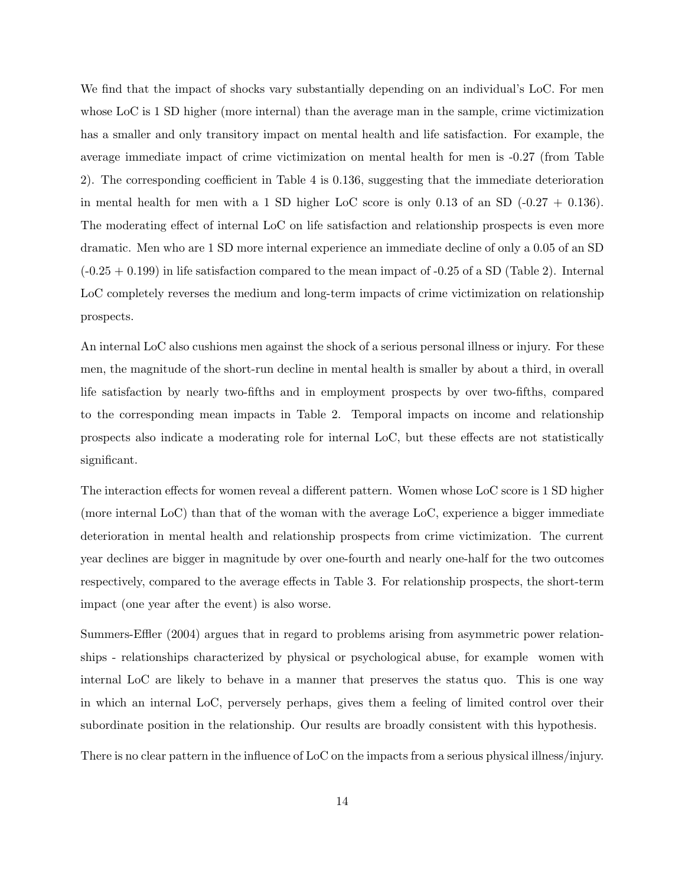We find that the impact of shocks vary substantially depending on an individual's LoC. For men whose LoC is 1 SD higher (more internal) than the average man in the sample, crime victimization has a smaller and only transitory impact on mental health and life satisfaction. For example, the average immediate impact of crime victimization on mental health for men is -0.27 (from Table 2). The corresponding coefficient in Table 4 is 0.136, suggesting that the immediate deterioration in mental health for men with a 1 SD higher LoC score is only 0.13 of an SD  $(-0.27 + 0.136)$ . The moderating effect of internal LoC on life satisfaction and relationship prospects is even more dramatic. Men who are 1 SD more internal experience an immediate decline of only a 0.05 of an SD  $(-0.25 + 0.199)$  in life satisfaction compared to the mean impact of  $-0.25$  of a SD (Table 2). Internal LoC completely reverses the medium and long-term impacts of crime victimization on relationship prospects.

An internal LoC also cushions men against the shock of a serious personal illness or injury. For these men, the magnitude of the short-run decline in mental health is smaller by about a third, in overall life satisfaction by nearly two-fifths and in employment prospects by over two-fifths, compared to the corresponding mean impacts in Table 2. Temporal impacts on income and relationship prospects also indicate a moderating role for internal LoC, but these effects are not statistically significant.

The interaction effects for women reveal a different pattern. Women whose LoC score is 1 SD higher (more internal LoC) than that of the woman with the average LoC, experience a bigger immediate deterioration in mental health and relationship prospects from crime victimization. The current year declines are bigger in magnitude by over one-fourth and nearly one-half for the two outcomes respectively, compared to the average effects in Table 3. For relationship prospects, the short-term impact (one year after the event) is also worse.

Summers-Effler (2004) argues that in regard to problems arising from asymmetric power relationships - relationships characterized by physical or psychological abuse, for example women with internal LoC are likely to behave in a manner that preserves the status quo. This is one way in which an internal LoC, perversely perhaps, gives them a feeling of limited control over their subordinate position in the relationship. Our results are broadly consistent with this hypothesis.

There is no clear pattern in the influence of LoC on the impacts from a serious physical illness/injury.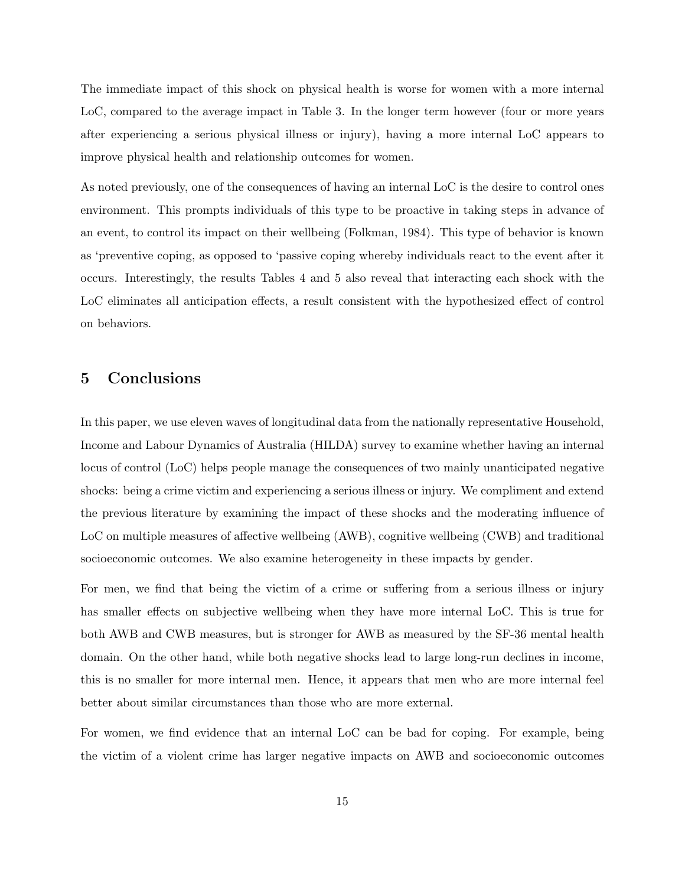The immediate impact of this shock on physical health is worse for women with a more internal LoC, compared to the average impact in Table 3. In the longer term however (four or more years after experiencing a serious physical illness or injury), having a more internal LoC appears to improve physical health and relationship outcomes for women.

As noted previously, one of the consequences of having an internal LoC is the desire to control ones environment. This prompts individuals of this type to be proactive in taking steps in advance of an event, to control its impact on their wellbeing (Folkman, 1984). This type of behavior is known as 'preventive coping, as opposed to 'passive coping whereby individuals react to the event after it occurs. Interestingly, the results Tables 4 and 5 also reveal that interacting each shock with the LoC eliminates all anticipation effects, a result consistent with the hypothesized effect of control on behaviors.

#### 5 Conclusions

In this paper, we use eleven waves of longitudinal data from the nationally representative Household, Income and Labour Dynamics of Australia (HILDA) survey to examine whether having an internal locus of control (LoC) helps people manage the consequences of two mainly unanticipated negative shocks: being a crime victim and experiencing a serious illness or injury. We compliment and extend the previous literature by examining the impact of these shocks and the moderating influence of LoC on multiple measures of affective wellbeing (AWB), cognitive wellbeing (CWB) and traditional socioeconomic outcomes. We also examine heterogeneity in these impacts by gender.

For men, we find that being the victim of a crime or suffering from a serious illness or injury has smaller effects on subjective wellbeing when they have more internal LoC. This is true for both AWB and CWB measures, but is stronger for AWB as measured by the SF-36 mental health domain. On the other hand, while both negative shocks lead to large long-run declines in income, this is no smaller for more internal men. Hence, it appears that men who are more internal feel better about similar circumstances than those who are more external.

For women, we find evidence that an internal LoC can be bad for coping. For example, being the victim of a violent crime has larger negative impacts on AWB and socioeconomic outcomes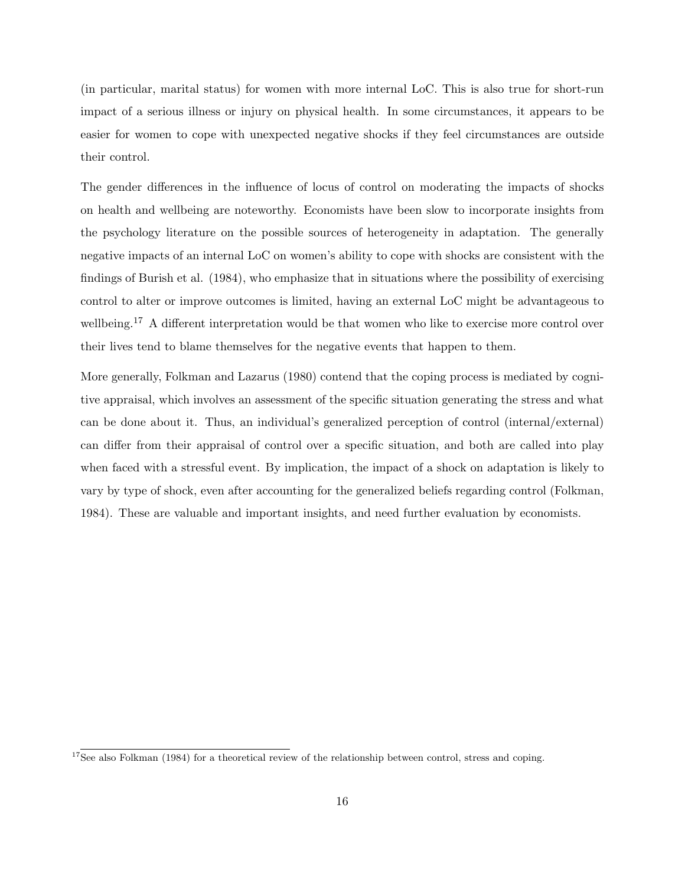(in particular, marital status) for women with more internal LoC. This is also true for short-run impact of a serious illness or injury on physical health. In some circumstances, it appears to be easier for women to cope with unexpected negative shocks if they feel circumstances are outside their control.

The gender differences in the influence of locus of control on moderating the impacts of shocks on health and wellbeing are noteworthy. Economists have been slow to incorporate insights from the psychology literature on the possible sources of heterogeneity in adaptation. The generally negative impacts of an internal LoC on women's ability to cope with shocks are consistent with the findings of Burish et al. (1984), who emphasize that in situations where the possibility of exercising control to alter or improve outcomes is limited, having an external LoC might be advantageous to wellbeing.<sup>17</sup> A different interpretation would be that women who like to exercise more control over their lives tend to blame themselves for the negative events that happen to them.

More generally, Folkman and Lazarus (1980) contend that the coping process is mediated by cognitive appraisal, which involves an assessment of the specific situation generating the stress and what can be done about it. Thus, an individual's generalized perception of control (internal/external) can differ from their appraisal of control over a specific situation, and both are called into play when faced with a stressful event. By implication, the impact of a shock on adaptation is likely to vary by type of shock, even after accounting for the generalized beliefs regarding control (Folkman, 1984). These are valuable and important insights, and need further evaluation by economists.

 $17$ See also Folkman (1984) for a theoretical review of the relationship between control, stress and coping.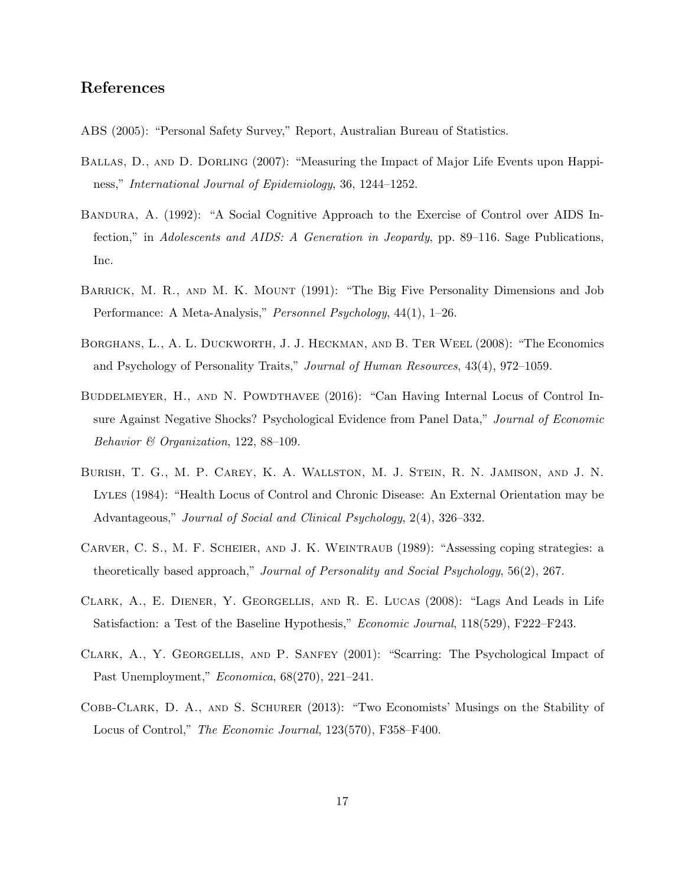#### References

- ABS (2005): "Personal Safety Survey," Report, Australian Bureau of Statistics.
- Ballas, D., and D. Dorling (2007): "Measuring the Impact of Major Life Events upon Happiness," International Journal of Epidemiology, 36, 1244–1252.
- Bandura, A. (1992): "A Social Cognitive Approach to the Exercise of Control over AIDS Infection," in Adolescents and AIDS: A Generation in Jeopardy, pp. 89–116. Sage Publications, Inc.
- Barrick, M. R., and M. K. Mount (1991): "The Big Five Personality Dimensions and Job Performance: A Meta-Analysis," Personnel Psychology, 44(1), 1–26.
- Borghans, L., A. L. Duckworth, J. J. Heckman, and B. Ter Weel (2008): "The Economics and Psychology of Personality Traits," Journal of Human Resources, 43(4), 972–1059.
- BUDDELMEYER, H., AND N. POWDTHAVEE (2016): "Can Having Internal Locus of Control Insure Against Negative Shocks? Psychological Evidence from Panel Data," Journal of Economic Behavior & Organization, 122, 88–109.
- Burish, T. G., M. P. Carey, K. A. Wallston, M. J. Stein, R. N. Jamison, and J. N. Lyles (1984): "Health Locus of Control and Chronic Disease: An External Orientation may be Advantageous," Journal of Social and Clinical Psychology, 2(4), 326–332.
- Carver, C. S., M. F. Scheier, and J. K. Weintraub (1989): "Assessing coping strategies: a theoretically based approach," Journal of Personality and Social Psychology, 56(2), 267.
- Clark, A., E. Diener, Y. Georgellis, and R. E. Lucas (2008): "Lags And Leads in Life Satisfaction: a Test of the Baseline Hypothesis," *Economic Journal*, 118(529), F222–F243.
- Clark, A., Y. Georgellis, and P. Sanfey (2001): "Scarring: The Psychological Impact of Past Unemployment," Economica, 68(270), 221–241.
- Cobb-Clark, D. A., and S. Schurer (2013): "Two Economists' Musings on the Stability of Locus of Control," *The Economic Journal*, 123(570), F358–F400.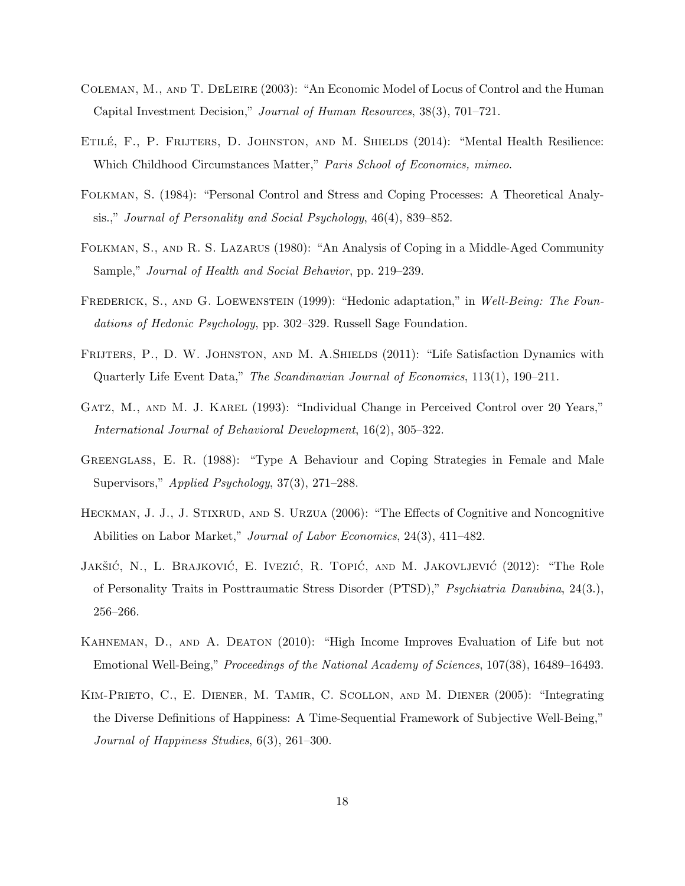- Coleman, M., and T. DeLeire (2003): "An Economic Model of Locus of Control and the Human Capital Investment Decision," Journal of Human Resources, 38(3), 701–721.
- ETILÉ, F., P. FRIJTERS, D. JOHNSTON, AND M. SHIELDS (2014): "Mental Health Resilience: Which Childhood Circumstances Matter," Paris School of Economics, mimeo.
- Folkman, S. (1984): "Personal Control and Stress and Coping Processes: A Theoretical Analysis.," Journal of Personality and Social Psychology, 46(4), 839–852.
- Folkman, S., and R. S. Lazarus (1980): "An Analysis of Coping in a Middle-Aged Community Sample," Journal of Health and Social Behavior, pp. 219–239.
- FREDERICK, S., AND G. LOEWENSTEIN (1999): "Hedonic adaptation," in Well-Being: The Foundations of Hedonic Psychology, pp. 302–329. Russell Sage Foundation.
- FRIJTERS, P., D. W. JOHNSTON, AND M. A.SHIELDS (2011): "Life Satisfaction Dynamics with Quarterly Life Event Data," The Scandinavian Journal of Economics, 113(1), 190–211.
- GATZ, M., AND M. J. KAREL (1993): "Individual Change in Perceived Control over 20 Years," International Journal of Behavioral Development, 16(2), 305–322.
- Greenglass, E. R. (1988): "Type A Behaviour and Coping Strategies in Female and Male Supervisors," Applied Psychology, 37(3), 271–288.
- HECKMAN, J. J., J. STIXRUD, AND S. URZUA (2006): "The Effects of Cognitive and Noncognitive Abilities on Labor Market," Journal of Labor Economics, 24(3), 411–482.
- JAKŠIĆ, N., L. BRAJKOVIĆ, E. IVEZIĆ, R. TOPIĆ, AND M. JAKOVLJEVIĆ (2012): "The Role of Personality Traits in Posttraumatic Stress Disorder (PTSD)," Psychiatria Danubina, 24(3.), 256–266.
- Kahneman, D., and A. Deaton (2010): "High Income Improves Evaluation of Life but not Emotional Well-Being," Proceedings of the National Academy of Sciences, 107(38), 16489–16493.
- Kim-Prieto, C., E. Diener, M. Tamir, C. Scollon, and M. Diener (2005): "Integrating the Diverse Definitions of Happiness: A Time-Sequential Framework of Subjective Well-Being," Journal of Happiness Studies, 6(3), 261–300.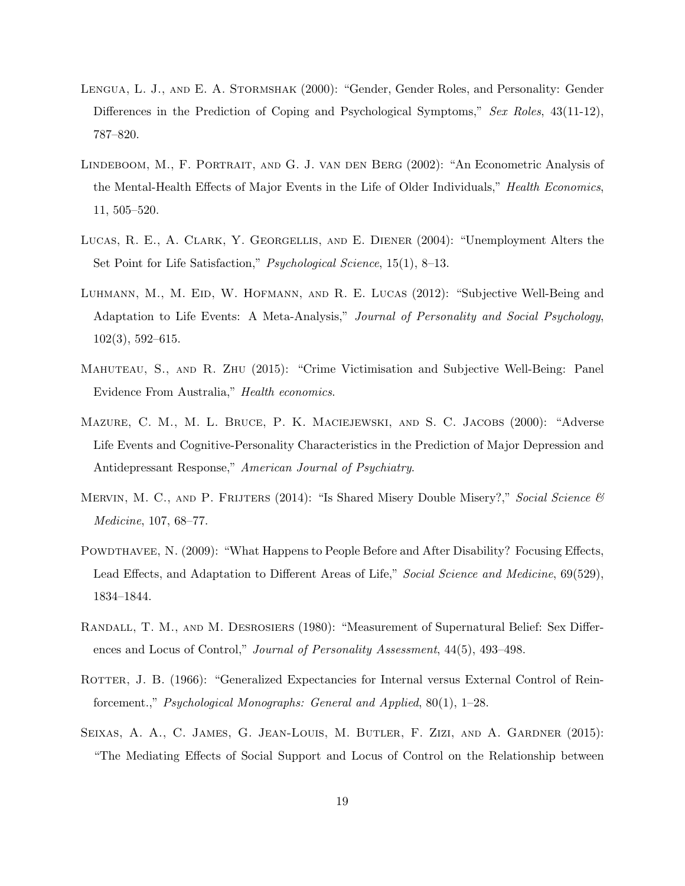- Lengua, L. J., and E. A. Stormshak (2000): "Gender, Gender Roles, and Personality: Gender Differences in the Prediction of Coping and Psychological Symptoms," Sex Roles, 43(11-12), 787–820.
- Lindeboom, M., F. Portrait, and G. J. van den Berg (2002): "An Econometric Analysis of the Mental-Health Effects of Major Events in the Life of Older Individuals," Health Economics, 11, 505–520.
- Lucas, R. E., A. Clark, Y. Georgellis, and E. Diener (2004): "Unemployment Alters the Set Point for Life Satisfaction," Psychological Science, 15(1), 8–13.
- LUHMANN, M., M. EID, W. HOFMANN, AND R. E. LUCAS (2012): "Subjective Well-Being and Adaptation to Life Events: A Meta-Analysis," Journal of Personality and Social Psychology, 102(3), 592–615.
- Mahuteau, S., and R. Zhu (2015): "Crime Victimisation and Subjective Well-Being: Panel Evidence From Australia," Health economics.
- Mazure, C. M., M. L. Bruce, P. K. Maciejewski, and S. C. Jacobs (2000): "Adverse Life Events and Cognitive-Personality Characteristics in the Prediction of Major Depression and Antidepressant Response," American Journal of Psychiatry.
- MERVIN, M. C., AND P. FRIJTERS (2014): "Is Shared Misery Double Misery?," Social Science  $\mathscr{C}$ Medicine, 107, 68–77.
- POWDTHAVEE, N. (2009): "What Happens to People Before and After Disability? Focusing Effects, Lead Effects, and Adaptation to Different Areas of Life," Social Science and Medicine, 69(529), 1834–1844.
- Randall, T. M., and M. Desrosiers (1980): "Measurement of Supernatural Belief: Sex Differences and Locus of Control," Journal of Personality Assessment, 44(5), 493–498.
- ROTTER, J. B. (1966): "Generalized Expectancies for Internal versus External Control of Reinforcement.," Psychological Monographs: General and Applied, 80(1), 1–28.
- Seixas, A. A., C. James, G. Jean-Louis, M. Butler, F. Zizi, and A. Gardner (2015): "The Mediating Effects of Social Support and Locus of Control on the Relationship between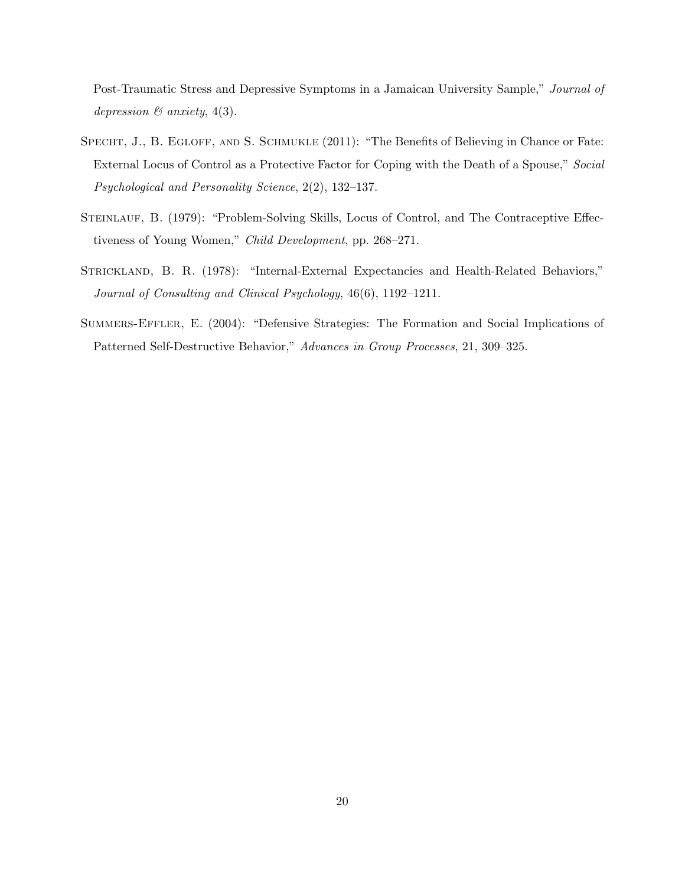Post-Traumatic Stress and Depressive Symptoms in a Jamaican University Sample," Journal of depression  $\mathcal{B}$  anxiety, 4(3).

- SPECHT, J., B. EGLOFF, AND S. SCHMUKLE (2011): "The Benefits of Believing in Chance or Fate: External Locus of Control as a Protective Factor for Coping with the Death of a Spouse," Social Psychological and Personality Science, 2(2), 132–137.
- STEINLAUF, B. (1979): "Problem-Solving Skills, Locus of Control, and The Contraceptive Effectiveness of Young Women," Child Development, pp. 268–271.
- STRICKLAND, B. R. (1978): "Internal-External Expectancies and Health-Related Behaviors," Journal of Consulting and Clinical Psychology, 46(6), 1192–1211.
- Summers-Effler, E. (2004): "Defensive Strategies: The Formation and Social Implications of Patterned Self-Destructive Behavior," Advances in Group Processes, 21, 309–325.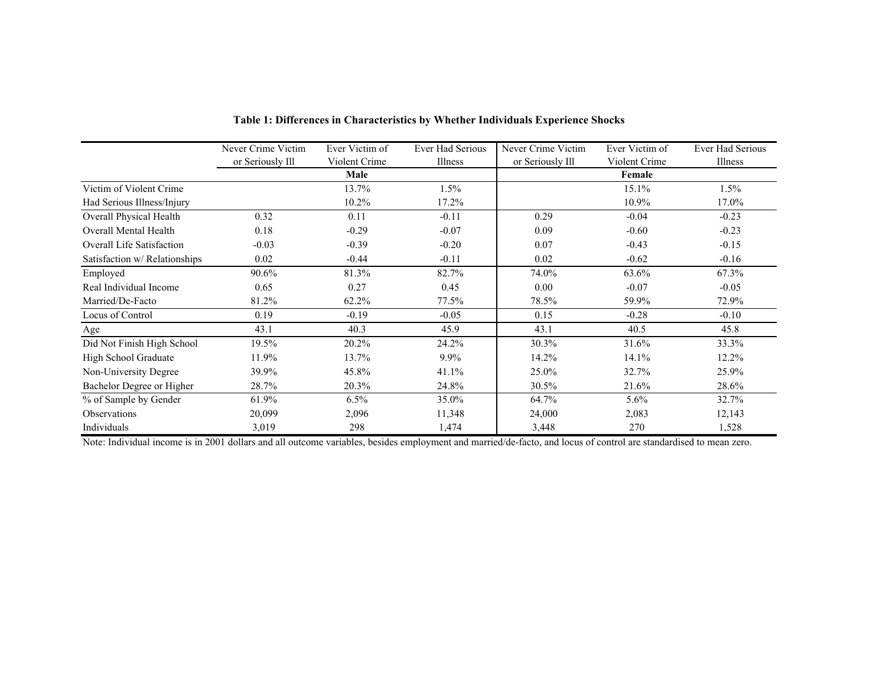|                               | Never Crime Victim | Ever Victim of | Ever Had Serious | Never Crime Victim | Ever Victim of | Ever Had Serious |
|-------------------------------|--------------------|----------------|------------------|--------------------|----------------|------------------|
|                               | or Seriously Ill   | Violent Crime  | Illness          | or Seriously Ill   | Violent Crime  | Illness          |
|                               |                    | Male           |                  |                    | Female         |                  |
| Victim of Violent Crime       |                    | 13.7%          | $1.5\%$          |                    | 15.1%          | 1.5%             |
| Had Serious Illness/Injury    |                    | 10.2%          | 17.2%            |                    | 10.9%          | 17.0%            |
| Overall Physical Health       | 0.32               | 0.11           | $-0.11$          | 0.29               | $-0.04$        | $-0.23$          |
| Overall Mental Health         | 0.18               | $-0.29$        | $-0.07$          | 0.09               | $-0.60$        | $-0.23$          |
| Overall Life Satisfaction     | $-0.03$            | $-0.39$        | $-0.20$          | 0.07               | $-0.43$        | $-0.15$          |
| Satisfaction w/ Relationships | 0.02               | $-0.44$        | $-0.11$          | 0.02               | $-0.62$        | $-0.16$          |
| Employed                      | 90.6%              | 81.3%          | 82.7%            | 74.0%              | 63.6%          | 67.3%            |
| Real Individual Income        | 0.65               | 0.27           | 0.45             | 0.00               | $-0.07$        | $-0.05$          |
| Married/De-Facto              | 81.2%              | 62.2%          | 77.5%            | 78.5%              | 59.9%          | 72.9%            |
| Locus of Control              | 0.19               | $-0.19$        | $-0.05$          | 0.15               | $-0.28$        | $-0.10$          |
| Age                           | 43.1               | 40.3           | 45.9             | 43.1               | 40.5           | 45.8             |
| Did Not Finish High School    | 19.5%              | 20.2%          | 24.2%            | 30.3%              | 31.6%          | 33.3%            |
| High School Graduate          | 11.9%              | 13.7%          | $9.9\%$          | 14.2%              | 14.1%          | 12.2%            |
| Non-University Degree         | 39.9%              | 45.8%          | 41.1%            | 25.0%              | 32.7%          | 25.9%            |
| Bachelor Degree or Higher     | 28.7%              | 20.3%          | 24.8%            | 30.5%              | 21.6%          | 28.6%            |
| % of Sample by Gender         | 61.9%              | 6.5%           | 35.0%            | 64.7%              | 5.6%           | 32.7%            |
| Observations                  | 20,099             | 2,096          | 11,348           | 24,000             | 2,083          | 12,143           |
| Individuals                   | 3,019              | 298            | 1,474            | 3,448              | 270            | 1,528            |

**Table 1: Differences in Characteristics by Whether Individuals Experience Shocks**

Note: Individual income is in 2001 dollars and all outcome variables, besides employment and married/de-facto, and locus of control are standardised to mean zero.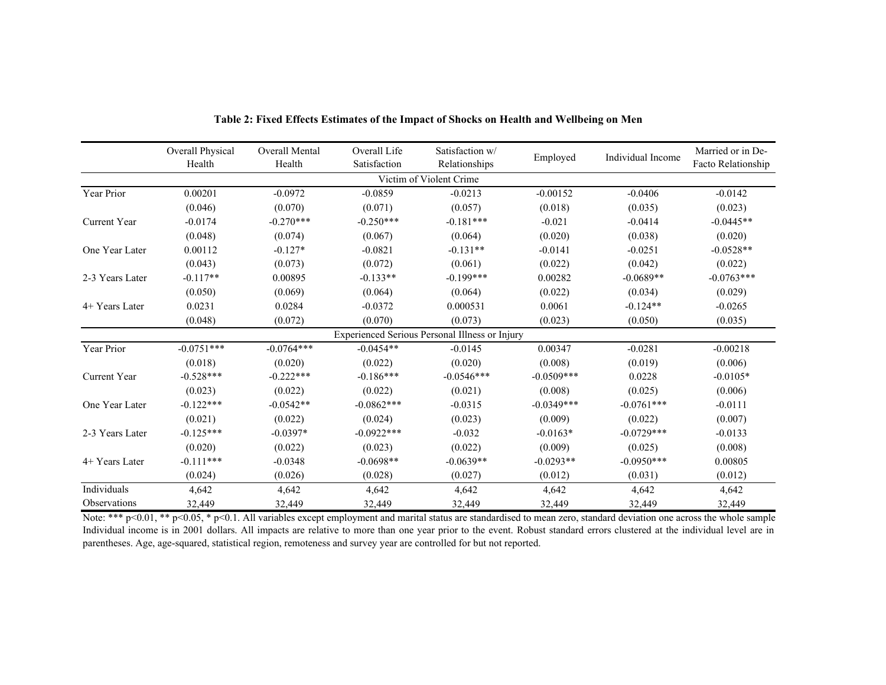|                 | Overall Physical<br>Health | Overall Mental<br>Health | Overall Life<br>Satisfaction | Satisfaction w/<br>Relationships               | Employed     | Individual Income | Married or in De-<br>Facto Relationship |
|-----------------|----------------------------|--------------------------|------------------------------|------------------------------------------------|--------------|-------------------|-----------------------------------------|
|                 |                            |                          |                              | Victim of Violent Crime                        |              |                   |                                         |
| Year Prior      | 0.00201                    | $-0.0972$                | $-0.0859$                    | $-0.0213$                                      | $-0.00152$   | $-0.0406$         | $-0.0142$                               |
|                 | (0.046)                    | (0.070)                  | (0.071)                      | (0.057)                                        | (0.018)      | (0.035)           | (0.023)                                 |
| Current Year    | $-0.0174$                  | $-0.270***$              | $-0.250***$                  | $-0.181***$                                    | $-0.021$     | $-0.0414$         | $-0.0445**$                             |
|                 | (0.048)                    | (0.074)                  | (0.067)                      | (0.064)                                        | (0.020)      | (0.038)           | (0.020)                                 |
| One Year Later  | 0.00112                    | $-0.127*$                | $-0.0821$                    | $-0.131**$                                     | $-0.0141$    | $-0.0251$         | $-0.0528**$                             |
|                 | (0.043)                    | (0.073)                  | (0.072)                      | (0.061)                                        | (0.022)      | (0.042)           | (0.022)                                 |
| 2-3 Years Later | $-0.117**$                 | 0.00895                  | $-0.133**$                   | $-0.199***$                                    | 0.00282      | $-0.0689**$       | $-0.0763***$                            |
|                 | (0.050)                    | (0.069)                  | (0.064)                      | (0.064)                                        | (0.022)      | (0.034)           | (0.029)                                 |
| 4+ Years Later  | 0.0231                     | 0.0284                   | $-0.0372$                    | 0.000531                                       | 0.0061       | $-0.124**$        | $-0.0265$                               |
|                 | (0.048)                    | (0.072)                  | (0.070)                      | (0.073)                                        | (0.023)      | (0.050)           | (0.035)                                 |
|                 |                            |                          |                              | Experienced Serious Personal Illness or Injury |              |                   |                                         |
| Year Prior      | $-0.0751***$               | $-0.0764***$             | $-0.0454**$                  | $-0.0145$                                      | 0.00347      | $-0.0281$         | $-0.00218$                              |
|                 | (0.018)                    | (0.020)                  | (0.022)                      | (0.020)                                        | (0.008)      | (0.019)           | (0.006)                                 |
| Current Year    | $-0.528***$                | $-0.222***$              | $-0.186***$                  | $-0.0546***$                                   | $-0.0509***$ | 0.0228            | $-0.0105*$                              |
|                 | (0.023)                    | (0.022)                  | (0.022)                      | (0.021)                                        | (0.008)      | (0.025)           | (0.006)                                 |
| One Year Later  | $-0.122***$                | $-0.0542**$              | $-0.0862***$                 | $-0.0315$                                      | $-0.0349***$ | $-0.0761***$      | $-0.0111$                               |
|                 | (0.021)                    | (0.022)                  | (0.024)                      | (0.023)                                        | (0.009)      | (0.022)           | (0.007)                                 |
| 2-3 Years Later | $-0.125***$                | $-0.0397*$               | $-0.0922***$                 | $-0.032$                                       | $-0.0163*$   | $-0.0729***$      | $-0.0133$                               |
|                 | (0.020)                    | (0.022)                  | (0.023)                      | (0.022)                                        | (0.009)      | (0.025)           | (0.008)                                 |
| 4+ Years Later  | $-0.111***$                | $-0.0348$                | $-0.0698**$                  | $-0.0639**$                                    | $-0.0293**$  | $-0.0950***$      | 0.00805                                 |
|                 | (0.024)                    | (0.026)                  | (0.028)                      | (0.027)                                        | (0.012)      | (0.031)           | (0.012)                                 |
| Individuals     | 4,642                      | 4,642                    | 4,642                        | 4,642                                          | 4,642        | 4,642             | 4,642                                   |
| Observations    | 32,449                     | 32,449                   | 32,449                       | 32,449                                         | 32,449       | 32,449            | 32,449                                  |

**Table 2: Fixed Effects Estimates of the Impact of Shocks on Health and Wellbeing on Men**

Note: \*\*\* p<0.01, \*\* p<0.05, \* p<0.1. All variables except employment and marital status are standardised to mean zero, standard deviation one across the whole sample Individual income is in 2001 dollars. All impacts are relative to more than one year prior to the event. Robust standard errors clustered at the individual level are in parentheses. Age, age-squared, statistical region, remoteness and survey year are controlled for but not reported.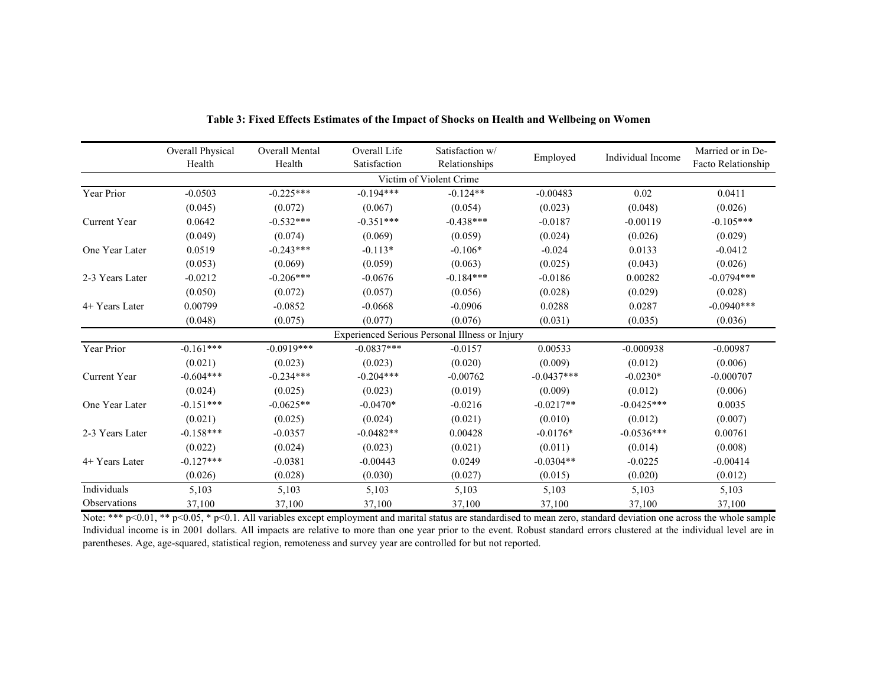|                 | Overall Physical<br>Health | Overall Mental<br>Health | Overall Life<br>Satisfaction | Satisfaction w/<br>Relationships               | Employed     | Individual Income | Married or in De-<br>Facto Relationship |
|-----------------|----------------------------|--------------------------|------------------------------|------------------------------------------------|--------------|-------------------|-----------------------------------------|
|                 |                            |                          |                              | Victim of Violent Crime                        |              |                   |                                         |
| Year Prior      | $-0.0503$                  | $-0.225***$              | $-0.194***$                  | $-0.124**$                                     | $-0.00483$   | 0.02              | 0.0411                                  |
|                 | (0.045)                    | (0.072)                  | (0.067)                      | (0.054)                                        | (0.023)      | (0.048)           | (0.026)                                 |
| Current Year    | 0.0642                     | $-0.532***$              | $-0.351***$                  | $-0.438***$                                    | $-0.0187$    | $-0.00119$        | $-0.105***$                             |
|                 | (0.049)                    | (0.074)                  | (0.069)                      | (0.059)                                        | (0.024)      | (0.026)           | (0.029)                                 |
| One Year Later  | 0.0519                     | $-0.243***$              | $-0.113*$                    | $-0.106*$                                      | $-0.024$     | 0.0133            | $-0.0412$                               |
|                 | (0.053)                    | (0.069)                  | (0.059)                      | (0.063)                                        | (0.025)      | (0.043)           | (0.026)                                 |
| 2-3 Years Later | $-0.0212$                  | $-0.206***$              | $-0.0676$                    | $-0.184***$                                    | $-0.0186$    | 0.00282           | $-0.0794***$                            |
|                 | (0.050)                    | (0.072)                  | (0.057)                      | (0.056)                                        | (0.028)      | (0.029)           | (0.028)                                 |
| 4+ Years Later  | 0.00799                    | $-0.0852$                | $-0.0668$                    | $-0.0906$                                      | 0.0288       | 0.0287            | $-0.0940***$                            |
|                 | (0.048)                    | (0.075)                  | (0.077)                      | (0.076)                                        | (0.031)      | (0.035)           | (0.036)                                 |
|                 |                            |                          |                              | Experienced Serious Personal Illness or Injury |              |                   |                                         |
| Year Prior      | $-0.161***$                | $-0.0919***$             | $-0.0837***$                 | $-0.0157$                                      | 0.00533      | $-0.000938$       | $-0.00987$                              |
|                 | (0.021)                    | (0.023)                  | (0.023)                      | (0.020)                                        | (0.009)      | (0.012)           | (0.006)                                 |
| Current Year    | $-0.604***$                | $-0.234***$              | $-0.204***$                  | $-0.00762$                                     | $-0.0437***$ | $-0.0230*$        | $-0.000707$                             |
|                 | (0.024)                    | (0.025)                  | (0.023)                      | (0.019)                                        | (0.009)      | (0.012)           | (0.006)                                 |
| One Year Later  | $-0.151***$                | $-0.0625**$              | $-0.0470*$                   | $-0.0216$                                      | $-0.0217**$  | $-0.0425***$      | 0.0035                                  |
|                 | (0.021)                    | (0.025)                  | (0.024)                      | (0.021)                                        | (0.010)      | (0.012)           | (0.007)                                 |
| 2-3 Years Later | $-0.158***$                | $-0.0357$                | $-0.0482**$                  | 0.00428                                        | $-0.0176*$   | $-0.0536***$      | 0.00761                                 |
|                 | (0.022)                    | (0.024)                  | (0.023)                      | (0.021)                                        | (0.011)      | (0.014)           | (0.008)                                 |
| 4+ Years Later  | $-0.127***$                | $-0.0381$                | $-0.00443$                   | 0.0249                                         | $-0.0304**$  | $-0.0225$         | $-0.00414$                              |
|                 | (0.026)                    | (0.028)                  | (0.030)                      | (0.027)                                        | (0.015)      | (0.020)           | (0.012)                                 |
| Individuals     | 5,103                      | 5,103                    | 5,103                        | 5,103                                          | 5,103        | 5,103             | 5,103                                   |
| Observations    | 37,100                     | 37,100                   | 37,100                       | 37,100                                         | 37,100       | 37,100            | 37,100                                  |

**Table 3: Fixed Effects Estimates of the Impact of Shocks on Health and Wellbeing on Women**

Note: \*\*\* p<0.01, \*\* p<0.05, \* p<0.1. All variables except employment and marital status are standardised to mean zero, standard deviation one across the whole sample Individual income is in 2001 dollars. All impacts are relative to more than one year prior to the event. Robust standard errors clustered at the individual level are in parentheses. Age, age-squared, statistical region, remoteness and survey year are controlled for but not reported.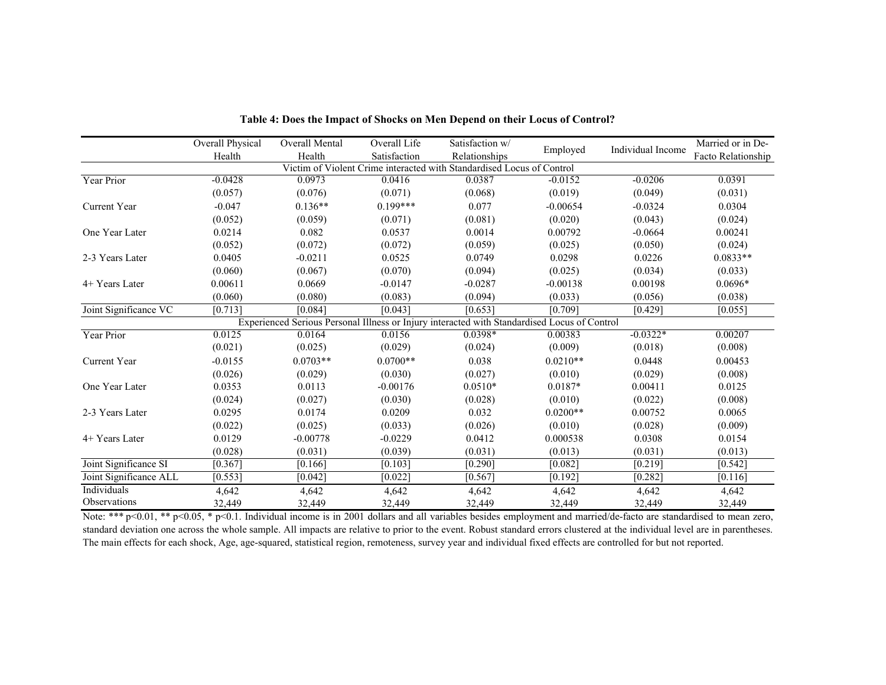|                        | Overall Physical | Overall Mental | Overall Life | Satisfaction w/                                                                              |            | Individual Income | Married or in De-  |
|------------------------|------------------|----------------|--------------|----------------------------------------------------------------------------------------------|------------|-------------------|--------------------|
|                        | Health           | Health         | Satisfaction | Relationships                                                                                | Employed   |                   | Facto Relationship |
|                        |                  |                |              | Victim of Violent Crime interacted with Standardised Locus of Control                        |            |                   |                    |
| Year Prior             | $-0.0428$        | 0.0973         | 0.0416       | 0.0387                                                                                       | $-0.0152$  | $-0.0206$         | 0.0391             |
|                        | (0.057)          | (0.076)        | (0.071)      | (0.068)                                                                                      | (0.019)    | (0.049)           | (0.031)            |
| Current Year           | $-0.047$         | $0.136**$      | $0.199***$   | 0.077                                                                                        | $-0.00654$ | $-0.0324$         | 0.0304             |
|                        | (0.052)          | (0.059)        | (0.071)      | (0.081)                                                                                      | (0.020)    | (0.043)           | (0.024)            |
| One Year Later         | 0.0214           | 0.082          | 0.0537       | 0.0014                                                                                       | 0.00792    | $-0.0664$         | 0.00241            |
|                        | (0.052)          | (0.072)        | (0.072)      | (0.059)                                                                                      | (0.025)    | (0.050)           | (0.024)            |
| 2-3 Years Later        | 0.0405           | $-0.0211$      | 0.0525       | 0.0749                                                                                       | 0.0298     | 0.0226            | $0.0833**$         |
|                        | (0.060)          | (0.067)        | (0.070)      | (0.094)                                                                                      | (0.025)    | (0.034)           | (0.033)            |
| 4+ Years Later         | 0.00611          | 0.0669         | $-0.0147$    | $-0.0287$                                                                                    | $-0.00138$ | 0.00198           | $0.0696*$          |
|                        | (0.060)          | (0.080)        | (0.083)      | (0.094)                                                                                      | (0.033)    | (0.056)           | (0.038)            |
| Joint Significance VC  | [0.713]          | [0.084]        | [0.043]      | [0.653]                                                                                      | [0.709]    | $[0.429]$         | [0.055]            |
|                        |                  |                |              | Experienced Serious Personal Illness or Injury interacted with Standardised Locus of Control |            |                   |                    |
| Year Prior             | 0.0125           | 0.0164         | 0.0156       | $0.0398*$                                                                                    | 0.00383    | $-0.0322*$        | 0.00207            |
|                        | (0.021)          | (0.025)        | (0.029)      | (0.024)                                                                                      | (0.009)    | (0.018)           | (0.008)            |
| Current Year           | $-0.0155$        | $0.0703**$     | $0.0700**$   | 0.038                                                                                        | $0.0210**$ | 0.0448            | 0.00453            |
|                        | (0.026)          | (0.029)        | (0.030)      | (0.027)                                                                                      | (0.010)    | (0.029)           | (0.008)            |
| One Year Later         | 0.0353           | 0.0113         | $-0.00176$   | $0.0510*$                                                                                    | $0.0187*$  | 0.00411           | 0.0125             |
|                        | (0.024)          | (0.027)        | (0.030)      | (0.028)                                                                                      | (0.010)    | (0.022)           | (0.008)            |
| 2-3 Years Later        | 0.0295           | 0.0174         | 0.0209       | 0.032                                                                                        | $0.0200**$ | 0.00752           | 0.0065             |
|                        | (0.022)          | (0.025)        | (0.033)      | (0.026)                                                                                      | (0.010)    | (0.028)           | (0.009)            |
| 4+ Years Later         | 0.0129           | $-0.00778$     | $-0.0229$    | 0.0412                                                                                       | 0.000538   | 0.0308            | 0.0154             |
|                        | (0.028)          | (0.031)        | (0.039)      | (0.031)                                                                                      | (0.013)    | (0.031)           | (0.013)            |
| Joint Significance SI  | [0.367]          | [0.166]        | [0.103]      | [0.290]                                                                                      | [0.082]    | [0.219]           | [0.542]            |
| Joint Significance ALL | [0.553]          | [0.042]        | $[0.022]$    | [0.567]                                                                                      | [0.192]    | [0.282]           | [0.116]            |
| Individuals            | 4,642            | 4,642          | 4,642        | 4,642                                                                                        | 4,642      | 4,642             | 4,642              |
| Observations           | 32,449           | 32,449         | 32,449       | 32,449                                                                                       | 32,449     | 32,449            | 32,449             |

**Table 4: Does the Impact of Shocks on Men Depend on their Locus of Control?**

Note: \*\*\* p<0.01, \*\* p<0.05, \* p<0.1. Individual income is in 2001 dollars and all variables besides employment and married/de-facto are standardised to mean zero, standard deviation one across the whole sample. All impacts are relative to prior to the event. Robust standard errors clustered at the individual level are in parentheses. The main effects for each shock, Age, age-squared, statistical region, remoteness, survey year and individual fixed effects are controlled for but not reported.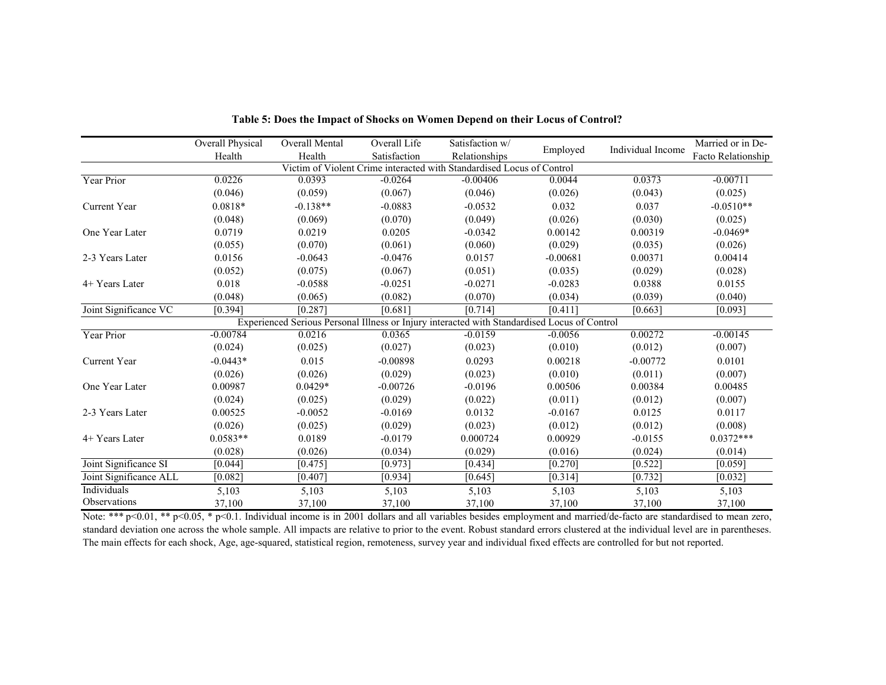|                        | Overall Physical | <b>Overall Mental</b> | Overall Life | Satisfaction w/                                                                              |            |                   | Married or in De-  |
|------------------------|------------------|-----------------------|--------------|----------------------------------------------------------------------------------------------|------------|-------------------|--------------------|
|                        | Health           | Health                | Satisfaction | Relationships                                                                                | Employed   | Individual Income | Facto Relationship |
|                        |                  |                       |              | Victim of Violent Crime interacted with Standardised Locus of Control                        |            |                   |                    |
| Year Prior             | 0.0226           | 0.0393                | $-0.0264$    | $-0.00406$                                                                                   | 0.0044     | 0.0373            | $-0.00711$         |
|                        | (0.046)          | (0.059)               | (0.067)      | (0.046)                                                                                      | (0.026)    | (0.043)           | (0.025)            |
| Current Year           | $0.0818*$        | $-0.138**$            | $-0.0883$    | $-0.0532$                                                                                    | 0.032      | 0.037             | $-0.0510**$        |
|                        | (0.048)          | (0.069)               | (0.070)      | (0.049)                                                                                      | (0.026)    | (0.030)           | (0.025)            |
| One Year Later         | 0.0719           | 0.0219                | 0.0205       | $-0.0342$                                                                                    | 0.00142    | 0.00319           | $-0.0469*$         |
|                        | (0.055)          | (0.070)               | (0.061)      | (0.060)                                                                                      | (0.029)    | (0.035)           | (0.026)            |
| 2-3 Years Later        | 0.0156           | $-0.0643$             | $-0.0476$    | 0.0157                                                                                       | $-0.00681$ | 0.00371           | 0.00414            |
|                        | (0.052)          | (0.075)               | (0.067)      | (0.051)                                                                                      | (0.035)    | (0.029)           | (0.028)            |
| $4+$ Years Later       | 0.018            | $-0.0588$             | $-0.0251$    | $-0.0271$                                                                                    | $-0.0283$  | 0.0388            | 0.0155             |
|                        | (0.048)          | (0.065)               | (0.082)      | (0.070)                                                                                      | (0.034)    | (0.039)           | (0.040)            |
| Joint Significance VC  | [0.394]          | [0.287]               | [0.681]      | [0.714]                                                                                      | [0.411]    | [0.663]           | [0.093]            |
|                        |                  |                       |              | Experienced Serious Personal Illness or Injury interacted with Standardised Locus of Control |            |                   |                    |
| Year Prior             | $-0.00784$       | 0.0216                | 0.0365       | $-0.0159$                                                                                    | $-0.0056$  | 0.00272           | $-0.00145$         |
|                        | (0.024)          | (0.025)               | (0.027)      | (0.023)                                                                                      | (0.010)    | (0.012)           | (0.007)            |
| Current Year           | $-0.0443*$       | 0.015                 | $-0.00898$   | 0.0293                                                                                       | 0.00218    | $-0.00772$        | 0.0101             |
|                        | (0.026)          | (0.026)               | (0.029)      | (0.023)                                                                                      | (0.010)    | (0.011)           | (0.007)            |
| One Year Later         | 0.00987          | $0.0429*$             | $-0.00726$   | $-0.0196$                                                                                    | 0.00506    | 0.00384           | 0.00485            |
|                        | (0.024)          | (0.025)               | (0.029)      | (0.022)                                                                                      | (0.011)    | (0.012)           | (0.007)            |
| 2-3 Years Later        | 0.00525          | $-0.0052$             | $-0.0169$    | 0.0132                                                                                       | $-0.0167$  | 0.0125            | 0.0117             |
|                        | (0.026)          | (0.025)               | (0.029)      | (0.023)                                                                                      | (0.012)    | (0.012)           | (0.008)            |
| 4+ Years Later         | $0.0583**$       | 0.0189                | $-0.0179$    | 0.000724                                                                                     | 0.00929    | $-0.0155$         | $0.0372***$        |
|                        | (0.028)          | (0.026)               | (0.034)      | (0.029)                                                                                      | (0.016)    | (0.024)           | (0.014)            |
| Joint Significance SI  | [0.044]          | [0.475]               | [0.973]      | [0.434]                                                                                      | [0.270]    | [0.522]           | [0.059]            |
| Joint Significance ALL | [0.082]          | [0.407]               | [0.934]      | [0.645]                                                                                      | [0.314]    | [0.732]           | [0.032]            |
| Individuals            | 5,103            | 5,103                 | 5,103        | 5,103                                                                                        | 5,103      | 5,103             | 5,103              |
| Observations           | 37,100           | 37,100                | 37,100       | 37,100                                                                                       | 37,100     | 37,100            | 37,100             |

**Table 5: Does the Impact of Shocks on Women Depend on their Locus of Control?**

Note: \*\*\* p<0.01, \*\* p<0.05, \* p<0.1. Individual income is in 2001 dollars and all variables besides employment and married/de-facto are standardised to mean zero, standard deviation one across the whole sample. All impacts are relative to prior to the event. Robust standard errors clustered at the individual level are in parentheses. The main effects for each shock, Age, age-squared, statistical region, remoteness, survey year and individual fixed effects are controlled for but not reported.